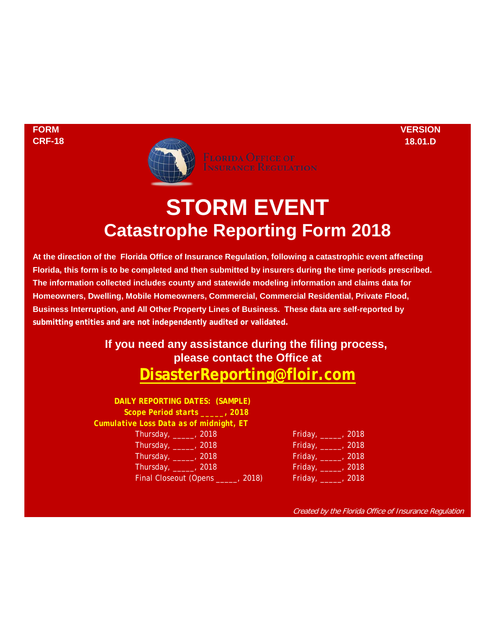**FORM VERSION**



# **STORM EVENT Catastrophe Reporting Form 2018**

**Florida, this form is to be completed and then submitted by insurers during the time periods prescribed. The information collected includes county and statewide modeling information and claims data for At the direction of the Florida Office of Insurance Regulation, following a catastrophic event affecting Business Interruption, and All Other Property Lines of Business. These data are self-reported by submitting entities and are not independently audited or validated. Homeowners, Dwelling, Mobile Homeowners, Commercial, Commercial Residential, Private Flood,**

## **please contact the Office at [DisasterReporting@floir.com](mailto:DisasterReporting@floir.com) If you need any assistance during the filing process,**

**DAILY REPORTING DATES: (SAMPLE)** *Scope Period starts \_\_\_\_\_, 2018 Cumulative Loss Data as of midnight, ET* Thursday, **\_\_\_\_\_**, 2018 Thursday, **\_\_\_\_\_**, 2018 Thursday, **\_\_\_\_**\_, 2018 Thursday, \_\_\_\_\_, 2018 Final Closeout (Opens \_\_\_\_, 2018)

| Friday, | 2018 |
|---------|------|
| Friday, | 2018 |
| Friday, | 2018 |
| Friday, | 2018 |
| Friday, | 2018 |

Created by the Florida Office of Insurance Regulation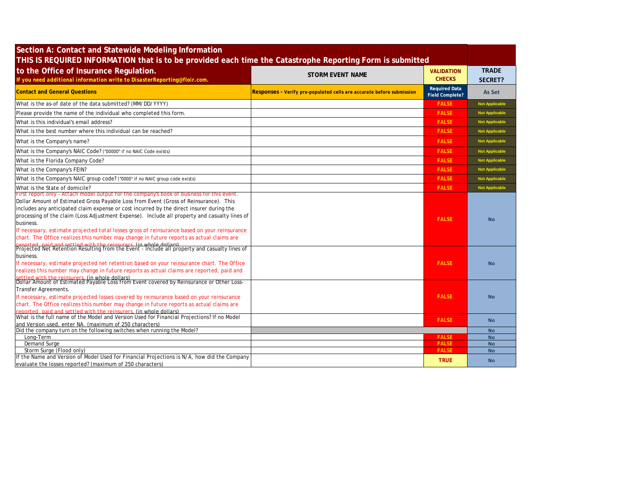| Section A: Contact and Statewide Modeling Information<br>THIS IS REQUIRED INFORMATION that is to be provided each time the Catastrophe Reporting Form is submitted                                                                                                                                                                                                                                                                                                                                                                                                                                                                                                                                                                                               |                                                                       |                                                |                                |
|------------------------------------------------------------------------------------------------------------------------------------------------------------------------------------------------------------------------------------------------------------------------------------------------------------------------------------------------------------------------------------------------------------------------------------------------------------------------------------------------------------------------------------------------------------------------------------------------------------------------------------------------------------------------------------------------------------------------------------------------------------------|-----------------------------------------------------------------------|------------------------------------------------|--------------------------------|
| to the Office of Insurance Regulation.<br>If you need additional information write to DisasterReporting@floir.com.                                                                                                                                                                                                                                                                                                                                                                                                                                                                                                                                                                                                                                               | <b>STORM EVENT NAME</b>                                               | <b>VALIDATION</b><br><b>CHECKS</b>             | <b>TRADE</b><br><b>SECRET?</b> |
| <b>Contact and General Questions</b>                                                                                                                                                                                                                                                                                                                                                                                                                                                                                                                                                                                                                                                                                                                             | Responses - Verify pre-populated cells are accurate before submission | <b>Required Data</b><br><b>Field Complete?</b> | As Set                         |
| What is the as-of date of the data submitted? (MM/DD/YYYY)                                                                                                                                                                                                                                                                                                                                                                                                                                                                                                                                                                                                                                                                                                       |                                                                       | <b>FALSE</b>                                   | <b>Not Applicable</b>          |
| Please provide the name of the individual who completed this form.                                                                                                                                                                                                                                                                                                                                                                                                                                                                                                                                                                                                                                                                                               |                                                                       | <b>FALSE</b>                                   | <b>Not Applicable</b>          |
| What is this individual's email address?                                                                                                                                                                                                                                                                                                                                                                                                                                                                                                                                                                                                                                                                                                                         |                                                                       | <b>FALSE</b>                                   | <b>Not Applicable</b>          |
| What is the best number where this individual can be reached?                                                                                                                                                                                                                                                                                                                                                                                                                                                                                                                                                                                                                                                                                                    |                                                                       | <b>FALSE</b>                                   | <b>Not Applicable</b>          |
| What is the Company's name?                                                                                                                                                                                                                                                                                                                                                                                                                                                                                                                                                                                                                                                                                                                                      |                                                                       | <b>FALSE</b>                                   | <b>Not Applicable</b>          |
| What is the Company's NAIC Code? ("00000" if no NAIC Code exists)                                                                                                                                                                                                                                                                                                                                                                                                                                                                                                                                                                                                                                                                                                |                                                                       | <b>FALSE</b>                                   | <b>Not Applicable</b>          |
| What is the Florida Company Code?                                                                                                                                                                                                                                                                                                                                                                                                                                                                                                                                                                                                                                                                                                                                |                                                                       | <b>FALSE</b>                                   | <b>Not Applicable</b>          |
| What is the Company's FEIN?                                                                                                                                                                                                                                                                                                                                                                                                                                                                                                                                                                                                                                                                                                                                      |                                                                       | <b>FALSE</b>                                   | <b>Not Applicable</b>          |
| What is the Company's NAIC group code? ("0000" if no NAIC group code exists)                                                                                                                                                                                                                                                                                                                                                                                                                                                                                                                                                                                                                                                                                     |                                                                       | <b>FALSE</b>                                   | <b>Not Applicable</b>          |
| What is the State of domicile?                                                                                                                                                                                                                                                                                                                                                                                                                                                                                                                                                                                                                                                                                                                                   |                                                                       | <b>FALSE</b>                                   | <b>Not Applicable</b>          |
| First report only - Attach model output for the company's book of business for this event.<br>Dollar Amount of Estimated Gross Payable Loss from Event (Gross of Reinsurance). This<br>includes any anticipated claim expense or cost incurred by the direct insurer during the<br>processing of the claim (Loss Adjustment Expense). Include all property and casualty lines of<br>business.<br>If necessary, estimate projected total losses gross of reinsurance based on your reinsurance<br>chart. The Office realizes this number may change in future reports as actual claims are<br>reported, paid and settled with the reinsurers. (in whole dollars)<br>Projected Net Retention Resulting from the Event - Include all property and casualty lines of |                                                                       | <b>FALSE</b>                                   | <b>No</b>                      |
| business.<br>If necessary, estimate projected net retention based on your reinsurance chart. The Office<br>realizes this number may change in future reports as actual claims are reported, paid and<br>settled with the reinsurers, (in whole dollars)<br>Dollar Amount of Estimated Payable Loss from Event covered by Reinsurance or Other Loss-                                                                                                                                                                                                                                                                                                                                                                                                              |                                                                       | <b>FALSE</b>                                   | <b>No</b>                      |
| Transfer Agreements.<br>If necessary, estimate projected losses covered by reinsurance based on your reinsurance<br>chart. The Office realizes this number may change in future reports as actual claims are<br>reported, paid and settled with the reinsurers. (in whole dollars)                                                                                                                                                                                                                                                                                                                                                                                                                                                                               |                                                                       | <b>FALSE</b>                                   | <b>No</b>                      |
| What is the full name of the Model and Version Used for Financial Projections? If no Model                                                                                                                                                                                                                                                                                                                                                                                                                                                                                                                                                                                                                                                                       |                                                                       | <b>FALSE</b>                                   | <b>No</b>                      |
| and Version used, enter NA. (maximum of 250 characters)<br>Did the company turn on the following switches when running the Model?                                                                                                                                                                                                                                                                                                                                                                                                                                                                                                                                                                                                                                |                                                                       |                                                | <b>No</b>                      |
| Long-Term                                                                                                                                                                                                                                                                                                                                                                                                                                                                                                                                                                                                                                                                                                                                                        |                                                                       | <b>FALSE</b>                                   | <b>No</b>                      |
| <b>Demand Surge</b>                                                                                                                                                                                                                                                                                                                                                                                                                                                                                                                                                                                                                                                                                                                                              |                                                                       | <b>FALSE</b>                                   | <b>No</b>                      |
| Storm Surge (Flood only)                                                                                                                                                                                                                                                                                                                                                                                                                                                                                                                                                                                                                                                                                                                                         |                                                                       | <b>FALSE</b>                                   | <b>No</b>                      |
| If the Name and Version of Model Used for Financial Projections is N/A, how did the Company<br>evaluate the losses reported? (maximum of 250 characters)                                                                                                                                                                                                                                                                                                                                                                                                                                                                                                                                                                                                         |                                                                       | <b>TRUE</b>                                    | <b>No</b>                      |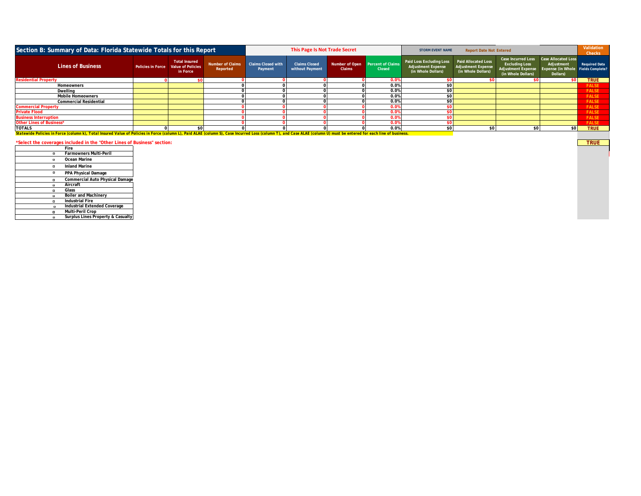|                                                                                                                                                                                                                       | Section B: Summary of Data: Florida Statewide Totals for this Report |                                                                         |                                     |                                      | This Page Is Not Trade Secret           |                                                   |               | <b>Report Date Not Entered</b><br><b>STORM EVENT NAME</b>                   |                                                                               |                                                                                                |                                                                                            | Validation<br><b>Checks</b> |
|-----------------------------------------------------------------------------------------------------------------------------------------------------------------------------------------------------------------------|----------------------------------------------------------------------|-------------------------------------------------------------------------|-------------------------------------|--------------------------------------|-----------------------------------------|---------------------------------------------------|---------------|-----------------------------------------------------------------------------|-------------------------------------------------------------------------------|------------------------------------------------------------------------------------------------|--------------------------------------------------------------------------------------------|-----------------------------|
| <b>Lines of Business</b>                                                                                                                                                                                              |                                                                      | <b>Total Insured</b><br>Policies in Force Value of Policies<br>in Force | <b>Number of Claims</b><br>Reported | <b>Claims Closed with</b><br>Payment | <b>Claims Closed</b><br>without Payment | Number of Open Percent of Claims<br><b>Claims</b> | <b>Closed</b> | Paid Loss Excluding Loss<br><b>Adjustment Expense</b><br>(in Whole Dollars) | <b>Paid Allocated Loss</b><br><b>Adjustment Expense</b><br>(in Whole Dollars) | Case Incurred Loss<br><b>Excluding Loss</b><br><b>Adjustment Expense</b><br>(in Whole Dollars) | <b>Case Allocated Loss</b><br>Adjustment<br>Expense (in Whole Fields Complete?<br>Dollars) | <b>Required Data</b>        |
| <b>Residential Property</b>                                                                                                                                                                                           |                                                                      |                                                                         |                                     |                                      |                                         |                                                   | 0.0%          |                                                                             |                                                                               |                                                                                                |                                                                                            | <b>TRUE</b>                 |
| Homeowners                                                                                                                                                                                                            |                                                                      |                                                                         |                                     |                                      |                                         |                                                   | 0.0%          | \$0 <sub>1</sub>                                                            |                                                                               |                                                                                                |                                                                                            | <b>FALSE</b>                |
| Dwelling                                                                                                                                                                                                              |                                                                      |                                                                         |                                     |                                      |                                         |                                                   | 0.0%          | \$0 <sub>1</sub>                                                            |                                                                               |                                                                                                |                                                                                            | <b>FALSE</b>                |
| <b>Mobile Homeowners</b>                                                                                                                                                                                              |                                                                      |                                                                         |                                     |                                      |                                         |                                                   | 0.0%          | \$0                                                                         |                                                                               |                                                                                                |                                                                                            | <b>FALSE</b>                |
| <b>Commercial Residential</b>                                                                                                                                                                                         |                                                                      |                                                                         |                                     |                                      |                                         |                                                   | 0.0%          | \$0 <sub>1</sub>                                                            |                                                                               |                                                                                                |                                                                                            | <b>FALSE</b>                |
| <b>Commercial Property</b>                                                                                                                                                                                            |                                                                      |                                                                         |                                     |                                      |                                         |                                                   | 0.0%          |                                                                             |                                                                               |                                                                                                |                                                                                            | <b>FALSE</b>                |
| <b>Private Flood</b>                                                                                                                                                                                                  |                                                                      |                                                                         |                                     |                                      |                                         |                                                   | 0.0%          |                                                                             |                                                                               |                                                                                                |                                                                                            | <b>FALSE</b>                |
| <b>Business Interruption</b>                                                                                                                                                                                          |                                                                      |                                                                         |                                     |                                      |                                         |                                                   | 0.0%          |                                                                             |                                                                               |                                                                                                |                                                                                            | <b>FALSE</b>                |
| Other Lines of Business*                                                                                                                                                                                              |                                                                      |                                                                         |                                     |                                      |                                         |                                                   | 0.0%          |                                                                             |                                                                               |                                                                                                |                                                                                            | <b>FALSE</b>                |
| <b>TOTALS</b>                                                                                                                                                                                                         |                                                                      |                                                                         |                                     |                                      |                                         |                                                   | 0.0%          | \$0                                                                         |                                                                               | \$0                                                                                            | \$0                                                                                        | <b>TRUE</b>                 |
| Statewide Policies in Force (column k). Total Insured Value of Policies in Force (column L), Paid ALAE (column S), Case Incurred Loss (column T), and Case ALAE (column U) must be entered for each line of business, |                                                                      |                                                                         |                                     |                                      |                                         |                                                   |               |                                                                             |                                                                               |                                                                                                |                                                                                            |                             |

### **\*Select the coverages included in the "Other Lines of Business" section: TRUE Fire** TRUE

TRUE

| Farmowners Multi-Peril<br>Ocean Marine<br><b>Inland Marine</b><br>PPA Physical Damage<br>Aircraft<br>Glass<br>Boiler and Machinery<br><b>Industrial Fire</b><br>Industrial Extended Coverage<br>Multi-Peril Crop |  | нге                               |
|------------------------------------------------------------------------------------------------------------------------------------------------------------------------------------------------------------------|--|-----------------------------------|
|                                                                                                                                                                                                                  |  |                                   |
| <b>Commercial Auto Physical Damage</b>                                                                                                                                                                           |  |                                   |
|                                                                                                                                                                                                                  |  |                                   |
|                                                                                                                                                                                                                  |  |                                   |
|                                                                                                                                                                                                                  |  |                                   |
|                                                                                                                                                                                                                  |  |                                   |
|                                                                                                                                                                                                                  |  |                                   |
|                                                                                                                                                                                                                  |  |                                   |
|                                                                                                                                                                                                                  |  |                                   |
|                                                                                                                                                                                                                  |  |                                   |
|                                                                                                                                                                                                                  |  |                                   |
|                                                                                                                                                                                                                  |  | Surplus Lines Property & Casualty |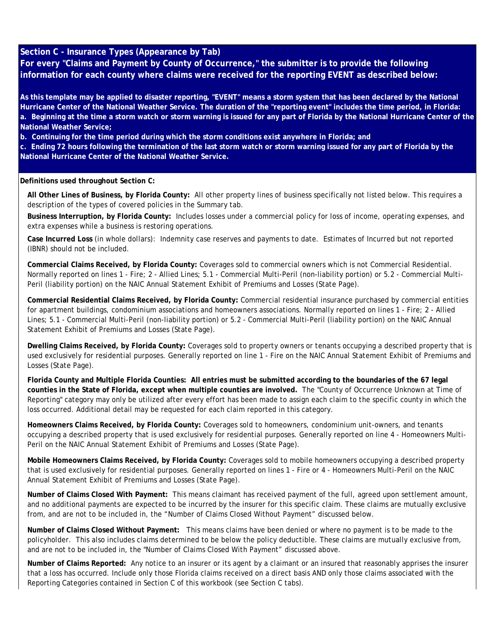#### **Section C - Insurance Types (Appearance by Tab)**

**For every "Claims and Payment by County of Occurrence," the submitter is to provide the following information for each county where claims were received for the reporting EVENT as described below:**

**As this template may be applied to disaster reporting, "EVENT" means a storm system that has been declared by the National Hurricane Center of the National Weather Service. The duration of the "reporting event" includes the time period, in Florida: a. Beginning at the time a storm watch or storm warning is issued for any part of Florida by the National Hurricane Center of the National Weather Service;** 

**b. Continuing for the time period during which the storm conditions exist anywhere in Florida; and** 

**c. Ending 72 hours following the termination of the last storm watch or storm warning issued for any part of Florida by the National Hurricane Center of the National Weather Service.**

#### **Definitions used throughout Section C:**

**All Other Lines of Business, by Florida County:** All other property lines of business specifically not listed below. This requires a description of the types of covered policies in the Summary tab.

**Business Interruption, by Florida County:** Includes losses under a commercial policy for loss of income, operating expenses, and extra expenses while a business is restoring operations.

**Case Incurred Loss** (in whole dollars): Indemnity case reserves and payments to date. Estimates of Incurred but not reported (IBNR) should not be included.

**Commercial Claims Received, by Florida County:** Coverages sold to commercial owners which is not Commercial Residential. Normally reported on lines 1 - Fire; 2 - Allied Lines; 5.1 - Commercial Multi-Peril (non-liability portion) or 5.2 - Commercial Multi-Peril (liability portion) on the NAIC Annual Statement Exhibit of Premiums and Losses (State Page).

**Commercial Residential Claims Received, by Florida County:** Commercial residential insurance purchased by commercial entities for apartment buildings, condominium associations and homeowners associations. Normally reported on lines 1 - Fire; 2 - Allied Lines; 5.1 - Commercial Multi-Peril (non-liability portion) or 5.2 - Commercial Multi-Peril (liability portion) on the NAIC Annual Statement Exhibit of Premiums and Losses (State Page).

**Dwelling Claims Received, by Florida County:** Coverages sold to property owners or tenants occupying a described property that is used exclusively for residential purposes. Generally reported on line 1 - Fire on the NAIC Annual Statement Exhibit of Premiums and Losses (State Page).

**Florida County and Multiple Florida Counties: All entries must be submitted according to the boundaries of the 67 legal counties in the State of Florida, except when multiple counties are involved.** The "County of Occurrence Unknown at Time of Reporting" category may only be utilized after every effort has been made to assign each claim to the specific county in which the loss occurred. Additional detail may be requested for each claim reported in this category.

**Homeowners Claims Received, by Florida County:** Coverages sold to homeowners, condominium unit-owners, and tenants occupying a described property that is used exclusively for residential purposes. Generally reported on line 4 - Homeowners Multi-Peril on the NAIC Annual Statement Exhibit of Premiums and Losses (State Page).

**Mobile Homeowners Claims Received, by Florida County:** Coverages sold to mobile homeowners occupying a described property that is used exclusively for residential purposes. Generally reported on lines 1 - Fire or 4 - Homeowners Multi-Peril on the NAIC Annual Statement Exhibit of Premiums and Losses (State Page).

**Number of Claims Closed With Payment:** This means claimant has received payment of the full, agreed upon settlement amount, and no additional payments are expected to be incurred by the insurer for this specific claim. These claims are mutually exclusive from, and are not to be included in, the "Number of Claims Closed Without Payment" discussed below.

**Number of Claims Closed Without Payment:** This means claims have been denied or where no payment is to be made to the policyholder. This also includes claims determined to be below the policy deductible. These claims are mutually exclusive from, and are not to be included in, the "Number of Claims Closed With Payment" discussed above.

**Number of Claims Reported:** Any notice to an insurer or its agent by a claimant or an insured that reasonably apprises the insurer that a loss has occurred. Include only those Florida claims received on a direct basis AND only those claims associated with the Reporting Categories contained in Section C of this workbook (see Section C tabs).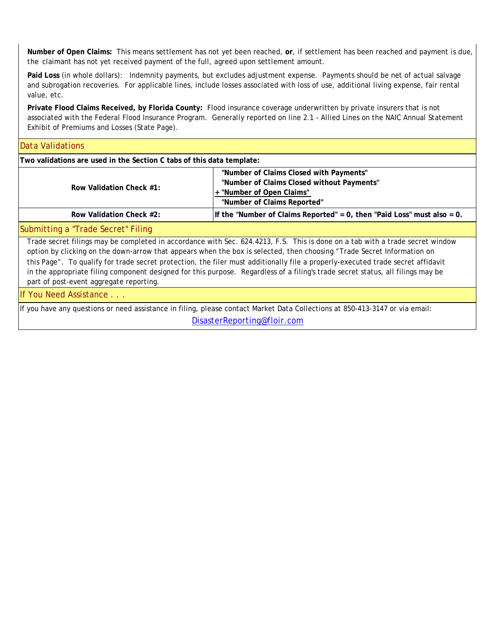**Number of Open Claims:** This means settlement has not yet been reached, **or**, if settlement has been reached *and payment is due, the* claimant has not yet received payment of the full, agreed upon settlement amount.

**Paid Loss** (in whole dollars): Indemnity payments, but excludes adjustment expense. Payments should be net of actual salvage and subrogation recoveries. For applicable lines, include losses associated with loss of use, additional living expense, fair rental value, etc.

**Private Flood Claims Received, by Florida County:** Flood insurance coverage underwritten by private insurers that is not associated with the Federal Flood Insurance Program. Generally reported on line 2.1 - Allied Lines on the NAIC Annual Statement Exhibit of Premiums and Losses (State Page).

#### **Row Validation Check #1: "Number of Claims Closed with Payments" "Number of Claims Closed without Payments" + "Number of Open Claims" "Number of Claims Reported" Row Validation Check #2: If the "Number of Claims Reported" = 0, then "Paid Loss" must also = 0.** in the appropriate filing component designed for this purpose. Regardless of a filing's trade secret status, all filings may be **Two validations are used in the Section C tabs of this data template:** Submitting a "Trade Secret" Filing If You Need Assistance . . . Data Validations If you have any questions or need assistance in filing, please contact Market Data Collections at 850-413-3147 or via email: Trade secret filings may be completed in accordance with Sec. 624.4213, F.S. This is done on a tab with a trade secret window option by clicking on the down-arrow that appears when the box is selected, then choosing "Trade Secret Information on this Page". To qualify for trade secret protection, the filer must additionally file a properly-executed trade secret affidavit part of post-event aggregate reporting.

[DisasterReporting@floir.com](mailto:DisasterReporting@floir.com)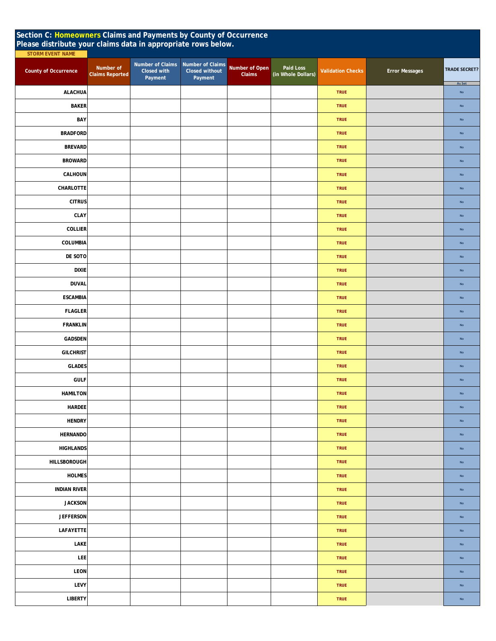| Section C: Homeowners Claims and Payments by County of Occurrence<br>Please distribute your claims data in appropriate rows below. |                                                                                   |                                                      |                          |                                 |                          |                       |                      |  |  |  |  |
|------------------------------------------------------------------------------------------------------------------------------------|-----------------------------------------------------------------------------------|------------------------------------------------------|--------------------------|---------------------------------|--------------------------|-----------------------|----------------------|--|--|--|--|
| <b>STORM EVENT NAME</b>                                                                                                            |                                                                                   |                                                      |                          |                                 |                          |                       |                      |  |  |  |  |
| <b>County of Occurrence</b>                                                                                                        | Number of Claims<br>Number of<br>Closed with<br><b>Claims Reported</b><br>Payment | Number of Claims<br><b>Closed without</b><br>Payment | Number of Open<br>Claims | Paid Loss<br>(in Whole Dollars) | <b>Validation Checks</b> | <b>Error Messages</b> | <b>TRADE SECRET?</b> |  |  |  |  |
| <b>ALACHUA</b>                                                                                                                     |                                                                                   |                                                      |                          |                                 | <b>TRUE</b>              |                       | As Set<br>No         |  |  |  |  |
| <b>BAKER</b>                                                                                                                       |                                                                                   |                                                      |                          |                                 | <b>TRUE</b>              |                       | No                   |  |  |  |  |
| BAY                                                                                                                                |                                                                                   |                                                      |                          |                                 | <b>TRUE</b>              |                       | $\mathsf{No}$        |  |  |  |  |
| <b>BRADFORD</b>                                                                                                                    |                                                                                   |                                                      |                          |                                 | <b>TRUE</b>              |                       | No                   |  |  |  |  |
| <b>BREVARD</b>                                                                                                                     |                                                                                   |                                                      |                          |                                 | <b>TRUE</b>              |                       | $\mathsf{No}$        |  |  |  |  |
| <b>BROWARD</b>                                                                                                                     |                                                                                   |                                                      |                          |                                 | <b>TRUE</b>              |                       | <b>No</b>            |  |  |  |  |
| CALHOUN                                                                                                                            |                                                                                   |                                                      |                          |                                 | <b>TRUE</b>              |                       | $\mathsf{No}$        |  |  |  |  |
| CHARLOTTE                                                                                                                          |                                                                                   |                                                      |                          |                                 | <b>TRUE</b>              |                       | No                   |  |  |  |  |
| <b>CITRUS</b>                                                                                                                      |                                                                                   |                                                      |                          |                                 | <b>TRUE</b>              |                       | No                   |  |  |  |  |
| CLAY                                                                                                                               |                                                                                   |                                                      |                          |                                 | <b>TRUE</b>              |                       | $\mathsf{No}$        |  |  |  |  |
| <b>COLLIER</b>                                                                                                                     |                                                                                   |                                                      |                          |                                 | <b>TRUE</b>              |                       | No                   |  |  |  |  |
| COLUMBIA                                                                                                                           |                                                                                   |                                                      |                          |                                 | <b>TRUE</b>              |                       | No                   |  |  |  |  |
| DE SOTO                                                                                                                            |                                                                                   |                                                      |                          |                                 | <b>TRUE</b>              |                       | $\mathsf{No}$        |  |  |  |  |
| <b>DIXIE</b>                                                                                                                       |                                                                                   |                                                      |                          |                                 | <b>TRUE</b>              |                       | No                   |  |  |  |  |
| <b>DUVAL</b>                                                                                                                       |                                                                                   |                                                      |                          |                                 | <b>TRUE</b>              |                       | No                   |  |  |  |  |
| <b>ESCAMBIA</b>                                                                                                                    |                                                                                   |                                                      |                          |                                 | <b>TRUE</b>              |                       | No                   |  |  |  |  |
| <b>FLAGLER</b>                                                                                                                     |                                                                                   |                                                      |                          |                                 | <b>TRUE</b>              |                       | No                   |  |  |  |  |
| <b>FRANKLIN</b>                                                                                                                    |                                                                                   |                                                      |                          |                                 | <b>TRUE</b>              |                       | No                   |  |  |  |  |
| <b>GADSDEN</b>                                                                                                                     |                                                                                   |                                                      |                          |                                 | <b>TRUE</b>              |                       | No                   |  |  |  |  |
| <b>GILCHRIST</b>                                                                                                                   |                                                                                   |                                                      |                          |                                 | <b>TRUE</b>              |                       | No                   |  |  |  |  |
| <b>GLADES</b>                                                                                                                      |                                                                                   |                                                      |                          |                                 | <b>TRUE</b>              |                       | No                   |  |  |  |  |
| <b>GULF</b>                                                                                                                        |                                                                                   |                                                      |                          |                                 | <b>TRUE</b>              |                       | No                   |  |  |  |  |
| <b>HAMILTON</b>                                                                                                                    |                                                                                   |                                                      |                          |                                 | <b>TRUE</b>              |                       | $\mathsf{No}$        |  |  |  |  |
| HARDEE                                                                                                                             |                                                                                   |                                                      |                          |                                 | <b>TRUE</b>              |                       | No                   |  |  |  |  |
| <b>HENDRY</b>                                                                                                                      |                                                                                   |                                                      |                          |                                 | <b>TRUE</b>              |                       | $\mathsf{No}$        |  |  |  |  |
| <b>HERNANDO</b>                                                                                                                    |                                                                                   |                                                      |                          |                                 | <b>TRUE</b>              |                       | $\mathsf{No}$        |  |  |  |  |
| <b>HIGHLANDS</b>                                                                                                                   |                                                                                   |                                                      |                          |                                 | <b>TRUE</b>              |                       | $\mathsf{No}$        |  |  |  |  |
| <b>HILLSBOROUGH</b>                                                                                                                |                                                                                   |                                                      |                          |                                 | <b>TRUE</b>              |                       | No                   |  |  |  |  |
| <b>HOLMES</b>                                                                                                                      |                                                                                   |                                                      |                          |                                 | <b>TRUE</b>              |                       | No                   |  |  |  |  |
| <b>INDIAN RIVER</b>                                                                                                                |                                                                                   |                                                      |                          |                                 | <b>TRUE</b>              |                       | $\mathsf{No}$        |  |  |  |  |
| <b>JACKSON</b>                                                                                                                     |                                                                                   |                                                      |                          |                                 | <b>TRUE</b>              |                       | $\mathsf{No}$        |  |  |  |  |
| <b>JEFFERSON</b>                                                                                                                   |                                                                                   |                                                      |                          |                                 | <b>TRUE</b>              |                       | $\mathsf{No}$        |  |  |  |  |
| LAFAYETTE                                                                                                                          |                                                                                   |                                                      |                          |                                 | <b>TRUE</b>              |                       | $\mathsf{No}$        |  |  |  |  |
| LAKE                                                                                                                               |                                                                                   |                                                      |                          |                                 | <b>TRUE</b>              |                       | $\mathsf{No}$        |  |  |  |  |
| <b>LEE</b>                                                                                                                         |                                                                                   |                                                      |                          |                                 | <b>TRUE</b>              |                       | $\mathsf{No}$        |  |  |  |  |
| LEON                                                                                                                               |                                                                                   |                                                      |                          |                                 | <b>TRUE</b>              |                       | $\mathsf{No}$        |  |  |  |  |
| LEVY                                                                                                                               |                                                                                   |                                                      |                          |                                 | <b>TRUE</b>              |                       | $\mathsf{No}$        |  |  |  |  |
| <b>LIBERTY</b>                                                                                                                     |                                                                                   |                                                      |                          |                                 | TRUE                     |                       | $\mathsf{No}$        |  |  |  |  |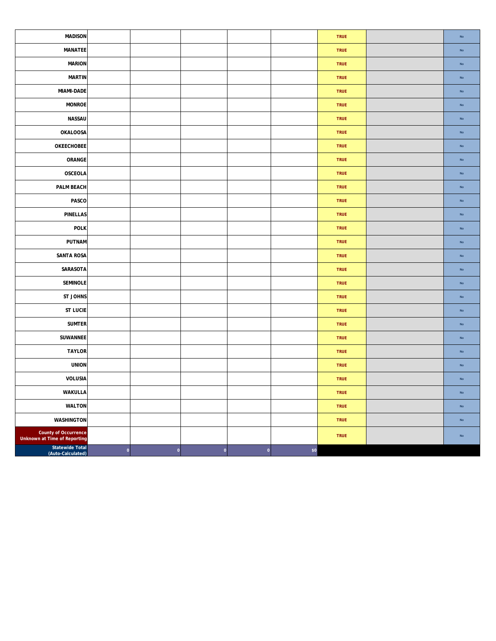| <b>MADISON</b>                                              |              |                             |          |     | <b>TRUE</b> | No            |
|-------------------------------------------------------------|--------------|-----------------------------|----------|-----|-------------|---------------|
| MANATEE                                                     |              |                             |          |     | TRUE        | No            |
| <b>MARION</b>                                               |              |                             |          |     | <b>TRUE</b> | No            |
| <b>MARTIN</b>                                               |              |                             |          |     | TRUE        | No            |
| MIAMI-DADE                                                  |              |                             |          |     | <b>TRUE</b> | No            |
| <b>MONROE</b>                                               |              |                             |          |     | <b>TRUE</b> | No            |
| NASSAU                                                      |              |                             |          |     | TRUE        | No            |
| <b>OKALOOSA</b>                                             |              |                             |          |     | <b>TRUE</b> | No            |
| OKEECHOBEE                                                  |              |                             |          |     | TRUE        | No            |
| ORANGE                                                      |              |                             |          |     | TRUE        | $\mathsf{No}$ |
| OSCEOLA                                                     |              |                             |          |     | TRUE        | No            |
| PALM BEACH                                                  |              |                             |          |     | <b>TRUE</b> | No            |
| PASCO                                                       |              |                             |          |     | <b>TRUE</b> | No            |
| <b>PINELLAS</b>                                             |              |                             |          |     | <b>TRUE</b> | No            |
| <b>POLK</b>                                                 |              |                             |          |     | <b>TRUE</b> | No            |
| PUTNAM                                                      |              |                             |          |     | TRUE        | No            |
| <b>SANTA ROSA</b>                                           |              |                             |          |     | <b>TRUE</b> | No            |
| SARASOTA                                                    |              |                             |          |     | TRUE        | No            |
| SEMINOLE                                                    |              |                             |          |     | TRUE        | No            |
| ST JOHNS                                                    |              |                             |          |     | <b>TRUE</b> | No            |
| <b>ST LUCIE</b>                                             |              |                             |          |     | <b>TRUE</b> | No            |
| <b>SUMTER</b>                                               |              |                             |          |     | TRUE        | No            |
| SUWANNEE                                                    |              |                             |          |     | <b>TRUE</b> | No            |
| <b>TAYLOR</b>                                               |              |                             |          |     | <b>TRUE</b> | No            |
| <b>UNION</b>                                                |              |                             |          |     | TRUE        | $\mathsf{No}$ |
| VOLUSIA                                                     |              |                             |          |     | <b>TRUE</b> | No            |
| WAKULLA                                                     |              |                             |          |     | TRUE        | No            |
| WALTON                                                      |              |                             |          |     | <b>TRUE</b> | No            |
| <b>WASHINGTON</b>                                           |              |                             |          |     | TRUE        | No            |
| County of Occurrence<br><b>Unknown at Time of Reporting</b> |              |                             |          |     | TRUE        | $\mathsf{No}$ |
| <b>Statewide Total</b><br>(Auto-Calculated)                 | $\mathbf{0}$ | $\mathbf 0$<br>$\mathbf{0}$ | $\bf{0}$ | \$0 |             |               |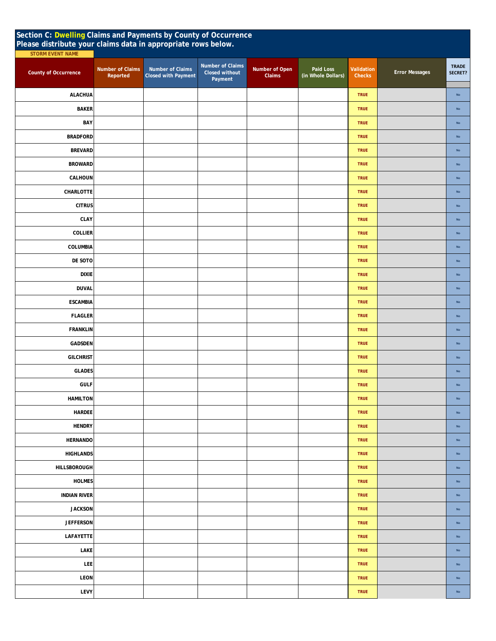| Section C: Dwelling Claims and Payments by County of Occurrence<br>Please distribute your claims data in appropriate rows below. |                              |                                                |                                               |                          |                                 |                      |                       |                         |  |  |
|----------------------------------------------------------------------------------------------------------------------------------|------------------------------|------------------------------------------------|-----------------------------------------------|--------------------------|---------------------------------|----------------------|-----------------------|-------------------------|--|--|
| <b>STORM EVENT NAME</b>                                                                                                          |                              |                                                |                                               |                          |                                 |                      |                       |                         |  |  |
| <b>County of Occurrence</b>                                                                                                      | Number of Claims<br>Reported | Number of Claims<br><b>Closed with Payment</b> | Number of Claims<br>Closed without<br>Payment | Number of Open<br>Claims | Paid Loss<br>(in Whole Dollars) | Validation<br>Checks | <b>Error Messages</b> | <b>TRADE</b><br>SECRET? |  |  |
| <b>ALACHUA</b>                                                                                                                   |                              |                                                |                                               |                          |                                 | <b>TRUE</b>          |                       | ${\sf No}$              |  |  |
| <b>BAKER</b>                                                                                                                     |                              |                                                |                                               |                          |                                 | <b>TRUE</b>          |                       | $\mathsf{No}$           |  |  |
| BAY                                                                                                                              |                              |                                                |                                               |                          |                                 | <b>TRUE</b>          |                       | $\mathsf{No}$           |  |  |
| <b>BRADFORD</b>                                                                                                                  |                              |                                                |                                               |                          |                                 | <b>TRUE</b>          |                       | $\mathsf{No}$           |  |  |
| <b>BREVARD</b>                                                                                                                   |                              |                                                |                                               |                          |                                 | <b>TRUE</b>          |                       | $\mathsf{No}$           |  |  |
| <b>BROWARD</b>                                                                                                                   |                              |                                                |                                               |                          |                                 | <b>TRUE</b>          |                       | $\mathsf{No}$           |  |  |
| CALHOUN                                                                                                                          |                              |                                                |                                               |                          |                                 | <b>TRUE</b>          |                       | $\mathsf{No}$           |  |  |
| CHARLOTTE                                                                                                                        |                              |                                                |                                               |                          |                                 | <b>TRUE</b>          |                       | No                      |  |  |
| <b>CITRUS</b>                                                                                                                    |                              |                                                |                                               |                          |                                 | <b>TRUE</b>          |                       | $\mathsf{No}$           |  |  |
| <b>CLAY</b>                                                                                                                      |                              |                                                |                                               |                          |                                 | <b>TRUE</b>          |                       | $\mathsf{No}$           |  |  |
| <b>COLLIER</b>                                                                                                                   |                              |                                                |                                               |                          |                                 | <b>TRUE</b>          |                       | No                      |  |  |
| COLUMBIA                                                                                                                         |                              |                                                |                                               |                          |                                 | <b>TRUE</b>          |                       | $\mathsf{No}$           |  |  |
| DE SOTO                                                                                                                          |                              |                                                |                                               |                          |                                 | <b>TRUE</b>          |                       | $\mathsf{No}$           |  |  |
| <b>DIXIE</b>                                                                                                                     |                              |                                                |                                               |                          |                                 | <b>TRUE</b>          |                       | $\mathsf{No}$           |  |  |
| <b>DUVAL</b>                                                                                                                     |                              |                                                |                                               |                          |                                 | <b>TRUE</b>          |                       | $\mathsf{No}$           |  |  |
| <b>ESCAMBIA</b>                                                                                                                  |                              |                                                |                                               |                          |                                 | <b>TRUE</b>          |                       | $\mathsf{No}$           |  |  |
| <b>FLAGLER</b>                                                                                                                   |                              |                                                |                                               |                          |                                 | <b>TRUE</b>          |                       | $\mathsf{No}$           |  |  |
| <b>FRANKLIN</b>                                                                                                                  |                              |                                                |                                               |                          |                                 | <b>TRUE</b>          |                       | $\mathsf{No}$           |  |  |
| <b>GADSDEN</b>                                                                                                                   |                              |                                                |                                               |                          |                                 | <b>TRUE</b>          |                       | No                      |  |  |
| <b>GILCHRIST</b>                                                                                                                 |                              |                                                |                                               |                          |                                 | <b>TRUE</b>          |                       | $\mathsf{No}$           |  |  |
| <b>GLADES</b>                                                                                                                    |                              |                                                |                                               |                          |                                 | <b>TRUE</b>          |                       | $\mathsf{No}$           |  |  |
| <b>GULF</b>                                                                                                                      |                              |                                                |                                               |                          |                                 | <b>TRUE</b>          |                       | <b>No</b>               |  |  |
| <b>HAMILTON</b>                                                                                                                  |                              |                                                |                                               |                          |                                 | <b>TRUE</b>          |                       | $\mathsf{No}$           |  |  |
| <b>HARDEE</b>                                                                                                                    |                              |                                                |                                               |                          |                                 | <b>TRUE</b>          |                       | No                      |  |  |
| <b>HENDRY</b>                                                                                                                    |                              |                                                |                                               |                          |                                 | <b>TRUE</b>          |                       | $\mathsf{No}$           |  |  |
| <b>HERNANDO</b>                                                                                                                  |                              |                                                |                                               |                          |                                 | <b>TRUE</b>          |                       | $\mathsf{No}$           |  |  |
| <b>HIGHLANDS</b>                                                                                                                 |                              |                                                |                                               |                          |                                 | <b>TRUE</b>          |                       | $\mathsf{No}$           |  |  |
| HILLSBOROUGH                                                                                                                     |                              |                                                |                                               |                          |                                 | <b>TRUE</b>          |                       | $\mathsf{No}$           |  |  |
| <b>HOLMES</b>                                                                                                                    |                              |                                                |                                               |                          |                                 | <b>TRUE</b>          |                       | $\mathsf{No}$           |  |  |
| <b>INDIAN RIVER</b>                                                                                                              |                              |                                                |                                               |                          |                                 | <b>TRUE</b>          |                       | $\mathsf{No}$           |  |  |
| <b>JACKSON</b>                                                                                                                   |                              |                                                |                                               |                          |                                 | <b>TRUE</b>          |                       | $\mathsf{No}$           |  |  |
| <b>JEFFERSON</b>                                                                                                                 |                              |                                                |                                               |                          |                                 | <b>TRUE</b>          |                       | $\mathsf{No}$           |  |  |
| LAFAYETTE                                                                                                                        |                              |                                                |                                               |                          |                                 | <b>TRUE</b>          |                       | $\mathsf{No}$           |  |  |
| LAKE                                                                                                                             |                              |                                                |                                               |                          |                                 | <b>TRUE</b>          |                       | $\mathsf{No}$           |  |  |
| LEE                                                                                                                              |                              |                                                |                                               |                          |                                 | <b>TRUE</b>          |                       | $\mathsf{No}$           |  |  |
| <b>LEON</b>                                                                                                                      |                              |                                                |                                               |                          |                                 | <b>TRUE</b>          |                       | $\mathsf{No}$           |  |  |
| LEVY                                                                                                                             |                              |                                                |                                               |                          |                                 | <b>TRUE</b>          |                       | No                      |  |  |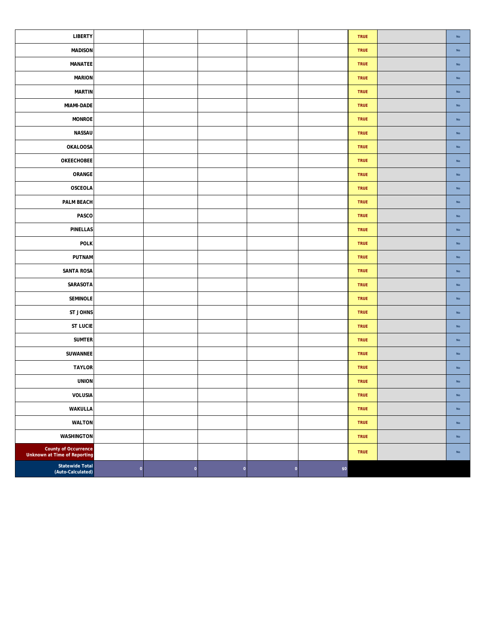| <b>LIBERTY</b>                                              |             |             |                    |             |     | <b>TRUE</b> | $\mathsf{No}$ |
|-------------------------------------------------------------|-------------|-------------|--------------------|-------------|-----|-------------|---------------|
| <b>MADISON</b>                                              |             |             |                    |             |     | <b>TRUE</b> | ${\sf No}$    |
| MANATEE                                                     |             |             |                    |             |     | TRUE        | $\mathsf{No}$ |
| <b>MARION</b>                                               |             |             |                    |             |     | TRUE        | ${\sf No}$    |
| <b>MARTIN</b>                                               |             |             |                    |             |     | <b>TRUE</b> | ${\sf No}$    |
| MIAMI-DADE                                                  |             |             |                    |             |     | TRUE        | $\mathsf{No}$ |
| <b>MONROE</b>                                               |             |             |                    |             |     | <b>TRUE</b> | $\mathsf{No}$ |
| NASSAU                                                      |             |             |                    |             |     | TRUE        | ${\sf No}$    |
| <b>OKALOOSA</b>                                             |             |             |                    |             |     | TRUE        | $\mathsf{No}$ |
| <b>OKEECHOBEE</b>                                           |             |             |                    |             |     | TRUE        | $\mathsf{No}$ |
| ORANGE                                                      |             |             |                    |             |     | TRUE        | ${\sf No}$    |
| <b>OSCEOLA</b>                                              |             |             |                    |             |     | <b>TRUE</b> | $\mathsf{No}$ |
| PALM BEACH                                                  |             |             |                    |             |     | <b>TRUE</b> | $\mathsf{No}$ |
| PASCO                                                       |             |             |                    |             |     | TRUE        | $\mathsf{No}$ |
| <b>PINELLAS</b>                                             |             |             |                    |             |     | TRUE        | $\mathsf{No}$ |
| <b>POLK</b>                                                 |             |             |                    |             |     | TRUE        | ${\sf No}$    |
| PUTNAM                                                      |             |             |                    |             |     | TRUE        | ${\sf No}$    |
| <b>SANTA ROSA</b>                                           |             |             |                    |             |     | <b>TRUE</b> | $\mathsf{No}$ |
| SARASOTA                                                    |             |             |                    |             |     | <b>TRUE</b> | ${\sf No}$    |
| <b>SEMINOLE</b>                                             |             |             |                    |             |     | <b>TRUE</b> | $\mathsf{No}$ |
| ST JOHNS                                                    |             |             |                    |             |     | <b>TRUE</b> | $\mathsf{No}$ |
| <b>ST LUCIE</b>                                             |             |             |                    |             |     | TRUE        | ${\sf No}$    |
| <b>SUMTER</b>                                               |             |             |                    |             |     | TRUE        | $\mathsf{No}$ |
| SUWANNEE                                                    |             |             |                    |             |     | <b>TRUE</b> | $\mathsf{No}$ |
| <b>TAYLOR</b>                                               |             |             |                    |             |     | TRUE        | $\mathsf{No}$ |
| <b>UNION</b>                                                |             |             |                    |             |     | <b>TRUE</b> | $\mathsf{No}$ |
| VOLUSIA                                                     |             |             |                    |             |     | <b>TRUE</b> | No            |
| <b>WAKULLA</b>                                              |             |             |                    |             |     | TRUE        | $\mathsf{No}$ |
| <b>WALTON</b>                                               |             |             |                    |             |     | <b>TRUE</b> | ${\sf No}$    |
| <b>WASHINGTON</b>                                           |             |             |                    |             |     | <b>TRUE</b> | ${\sf No}$    |
| <b>County of Occurrence</b><br>Unknown at Time of Reporting |             |             |                    |             |     | <b>TRUE</b> | $\mathsf{No}$ |
| Statewide Total<br>(Auto-Calculated)                        | $\mathbf 0$ | $\mathbf 0$ | $\pmb{\mathsf{O}}$ | $\mathbf 0$ | \$0 |             |               |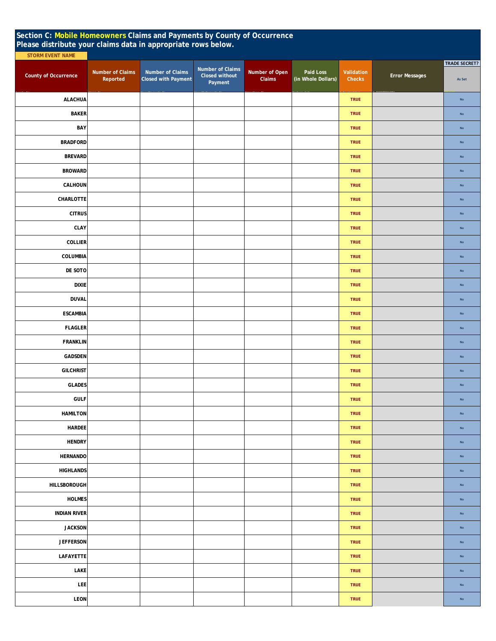| Section C: Mobile Homeowners Claims and Payments by County of Occurrence<br>Please distribute your claims data in appropriate rows below.<br><b>STORM EVENT NAME</b> |                                     |                                                |                                               |                          |                                 |                             |                       |                                |
|----------------------------------------------------------------------------------------------------------------------------------------------------------------------|-------------------------------------|------------------------------------------------|-----------------------------------------------|--------------------------|---------------------------------|-----------------------------|-----------------------|--------------------------------|
| <b>County of Occurrence</b>                                                                                                                                          | <b>Number of Claims</b><br>Reported | Number of Claims<br><b>Closed with Payment</b> | Number of Claims<br>Closed without<br>Payment | Number of Open<br>Claims | Paid Loss<br>(in Whole Dollars) | Validation<br><b>Checks</b> | <b>Error Messages</b> | <b>TRADE SECRET?</b><br>As Set |
| <b>ALACHUA</b>                                                                                                                                                       |                                     |                                                |                                               |                          |                                 | <b>TRUE</b>                 |                       | No                             |
| <b>BAKER</b>                                                                                                                                                         |                                     |                                                |                                               |                          |                                 | <b>TRUE</b>                 |                       | $\mathsf{No}$                  |
| BAY                                                                                                                                                                  |                                     |                                                |                                               |                          |                                 | <b>TRUE</b>                 |                       | $\mathsf{No}$                  |
| <b>BRADFORD</b>                                                                                                                                                      |                                     |                                                |                                               |                          |                                 | <b>TRUE</b>                 |                       | No                             |
| <b>BREVARD</b>                                                                                                                                                       |                                     |                                                |                                               |                          |                                 | <b>TRUE</b>                 |                       | ${\sf No}$                     |
| <b>BROWARD</b>                                                                                                                                                       |                                     |                                                |                                               |                          |                                 | <b>TRUE</b>                 |                       | No                             |
| CALHOUN                                                                                                                                                              |                                     |                                                |                                               |                          |                                 | <b>TRUE</b>                 |                       | $\mathsf{No}$                  |
| CHARLOTTE                                                                                                                                                            |                                     |                                                |                                               |                          |                                 | <b>TRUE</b>                 |                       | No                             |
| <b>CITRUS</b>                                                                                                                                                        |                                     |                                                |                                               |                          |                                 | <b>TRUE</b>                 |                       | No                             |
| CLAY                                                                                                                                                                 |                                     |                                                |                                               |                          |                                 | <b>TRUE</b>                 |                       | ${\sf No}$                     |
| COLLIER                                                                                                                                                              |                                     |                                                |                                               |                          |                                 | <b>TRUE</b>                 |                       | $\mathsf{No}$                  |
| COLUMBIA                                                                                                                                                             |                                     |                                                |                                               |                          |                                 | <b>TRUE</b>                 |                       | $\mathsf{No}$                  |
| DE SOTO                                                                                                                                                              |                                     |                                                |                                               |                          |                                 | <b>TRUE</b>                 |                       | No                             |
| <b>DIXIE</b>                                                                                                                                                         |                                     |                                                |                                               |                          |                                 | <b>TRUE</b>                 |                       | ${\sf No}$                     |
| <b>DUVAL</b>                                                                                                                                                         |                                     |                                                |                                               |                          |                                 | <b>TRUE</b>                 |                       | $\mathsf{No}$                  |
| <b>ESCAMBIA</b>                                                                                                                                                      |                                     |                                                |                                               |                          |                                 | <b>TRUE</b>                 |                       | $\mathsf{No}$                  |
| <b>FLAGLER</b>                                                                                                                                                       |                                     |                                                |                                               |                          |                                 | <b>TRUE</b>                 |                       | No                             |
| <b>FRANKLIN</b>                                                                                                                                                      |                                     |                                                |                                               |                          |                                 | <b>TRUE</b>                 |                       | No                             |
| GADSDEN                                                                                                                                                              |                                     |                                                |                                               |                          |                                 | <b>TRUE</b>                 |                       | $\mathsf{No}$                  |
| <b>GILCHRIST</b>                                                                                                                                                     |                                     |                                                |                                               |                          |                                 | <b>TRUE</b>                 |                       | $\mathsf{No}$                  |
| <b>GLADES</b>                                                                                                                                                        |                                     |                                                |                                               |                          |                                 | <b>TRUE</b>                 |                       | ${\sf No}$                     |
| <b>GULF</b>                                                                                                                                                          |                                     |                                                |                                               |                          |                                 | <b>TRUE</b>                 |                       | $\mathsf{No}$                  |
| <b>HAMILTON</b>                                                                                                                                                      |                                     |                                                |                                               |                          |                                 | <b>TRUE</b>                 |                       | <b>No</b>                      |
| <b>HARDEE</b>                                                                                                                                                        |                                     |                                                |                                               |                          |                                 | <b>TRUE</b>                 |                       | <b>No</b>                      |
| <b>HENDRY</b>                                                                                                                                                        |                                     |                                                |                                               |                          |                                 | <b>TRUE</b>                 |                       | ${\sf No}$                     |
| <b>HERNANDO</b>                                                                                                                                                      |                                     |                                                |                                               |                          |                                 | <b>TRUE</b>                 |                       | ${\sf No}$                     |
| <b>HIGHLANDS</b>                                                                                                                                                     |                                     |                                                |                                               |                          |                                 | <b>TRUE</b>                 |                       | $\mathsf{No}$                  |
| HILLSBOROUGH                                                                                                                                                         |                                     |                                                |                                               |                          |                                 | <b>TRUE</b>                 |                       | $\mathsf{No}$                  |
| <b>HOLMES</b>                                                                                                                                                        |                                     |                                                |                                               |                          |                                 | <b>TRUE</b>                 |                       | No                             |
| <b>INDIAN RIVER</b>                                                                                                                                                  |                                     |                                                |                                               |                          |                                 | <b>TRUE</b>                 |                       | ${\sf No}$                     |
| <b>JACKSON</b>                                                                                                                                                       |                                     |                                                |                                               |                          |                                 | <b>TRUE</b>                 |                       | $\mathsf{No}$                  |
| <b>JEFFERSON</b>                                                                                                                                                     |                                     |                                                |                                               |                          |                                 | <b>TRUE</b>                 |                       | $\mathsf{No}$                  |
| LAFAYETTE                                                                                                                                                            |                                     |                                                |                                               |                          |                                 | <b>TRUE</b>                 |                       | <b>No</b>                      |
| LAKE                                                                                                                                                                 |                                     |                                                |                                               |                          |                                 | <b>TRUE</b>                 |                       | $\mathsf{No}$                  |
| LEE                                                                                                                                                                  |                                     |                                                |                                               |                          |                                 | <b>TRUE</b>                 |                       | No                             |
| LEON                                                                                                                                                                 |                                     |                                                |                                               |                          |                                 | <b>TRUE</b>                 |                       | ${\sf No}$                     |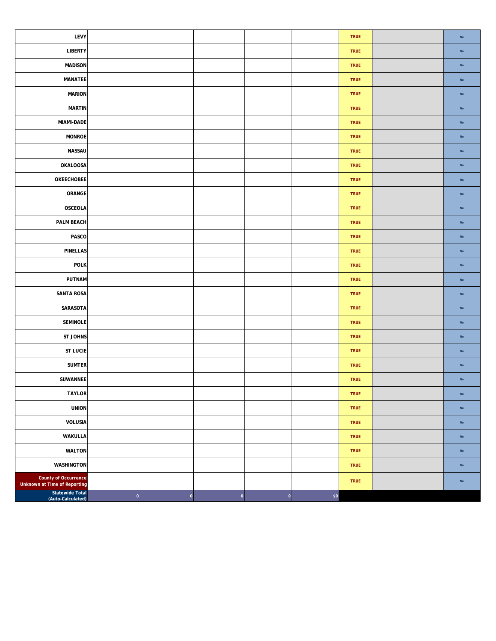| LEVY                                                        |             |   |                 |         |     | <b>TRUE</b> | $\mathsf{No}$ |
|-------------------------------------------------------------|-------------|---|-----------------|---------|-----|-------------|---------------|
| <b>LIBERTY</b>                                              |             |   |                 |         |     | TRUE        | ${\sf No}$    |
| <b>MADISON</b>                                              |             |   |                 |         |     | <b>TRUE</b> | $\mathsf{No}$ |
| MANATEE                                                     |             |   |                 |         |     | TRUE        | $\mathsf{No}$ |
| <b>MARION</b>                                               |             |   |                 |         |     | <b>TRUE</b> | $\mathsf{No}$ |
| <b>MARTIN</b>                                               |             |   |                 |         |     | TRUE        | ${\sf No}$    |
| <b>MIAMI-DADE</b>                                           |             |   |                 |         |     | TRUE        | ${\sf No}$    |
| <b>MONROE</b>                                               |             |   |                 |         |     | <b>TRUE</b> | $\mathsf{No}$ |
| <b>NASSAU</b>                                               |             |   |                 |         |     | <b>TRUE</b> | $\mathsf{No}$ |
| OKALOOSA                                                    |             |   |                 |         |     | <b>TRUE</b> | ${\sf No}$    |
| OKEECHOBEE                                                  |             |   |                 |         |     | <b>TRUE</b> | $\mathsf{No}$ |
| ORANGE                                                      |             |   |                 |         |     | <b>TRUE</b> | $\mathsf{No}$ |
| OSCEOLA                                                     |             |   |                 |         |     | <b>TRUE</b> | $\mathsf{No}$ |
| PALM BEACH                                                  |             |   |                 |         |     | <b>TRUE</b> | ${\sf No}$    |
| PASCO                                                       |             |   |                 |         |     | <b>TRUE</b> | ${\sf No}$    |
| <b>PINELLAS</b>                                             |             |   |                 |         |     | <b>TRUE</b> | $\mathsf{No}$ |
| <b>POLK</b>                                                 |             |   |                 |         |     | <b>TRUE</b> | $\mathsf{No}$ |
| PUTNAM                                                      |             |   |                 |         |     | <b>TRUE</b> | $\mathsf{No}$ |
| <b>SANTA ROSA</b>                                           |             |   |                 |         |     | TRUE        | ${\sf No}$    |
| SARASOTA                                                    |             |   |                 |         |     | <b>TRUE</b> | $\mathsf{No}$ |
| SEMINOLE                                                    |             |   |                 |         |     | TRUE        | $\mathsf{No}$ |
| ST JOHNS                                                    |             |   |                 |         |     | <b>TRUE</b> | $\mathsf{No}$ |
| <b>ST LUCIE</b>                                             |             |   |                 |         |     | TRUE        | ${\sf No}$    |
| <b>SUMTER</b>                                               |             |   |                 |         |     | TRUE        | ${\sf No}$    |
| SUWANNEE                                                    |             |   |                 |         |     | <b>TRUE</b> | $\mathsf{No}$ |
| <b>TAYLOR</b>                                               |             |   |                 |         |     | <b>TRUE</b> | $\mathsf{No}$ |
| <b>UNION</b>                                                |             |   |                 |         |     | <b>TRUE</b> | ${\sf No}$    |
| <b>VOLUSIA</b>                                              |             |   |                 |         |     | <b>TRUE</b> | ${\sf No}$    |
| WAKULLA                                                     |             |   |                 |         |     | <b>TRUE</b> | ${\sf No}$    |
| <b>WALTON</b>                                               |             |   |                 |         |     | <b>TRUE</b> | No            |
| <b>WASHINGTON</b>                                           |             |   |                 |         |     | <b>TRUE</b> | ${\sf No}$    |
| <b>County of Occurrence</b><br>Unknown at Time of Reporting |             |   |                 |         |     | <b>TRUE</b> | ${\sf No}$    |
| Statewide Total<br>(Auto-Calculated)                        | $\mathbf 0$ | 0 | $\vert 0 \vert$ | $\circ$ | \$o |             |               |

 $\mathsf T$ 

┱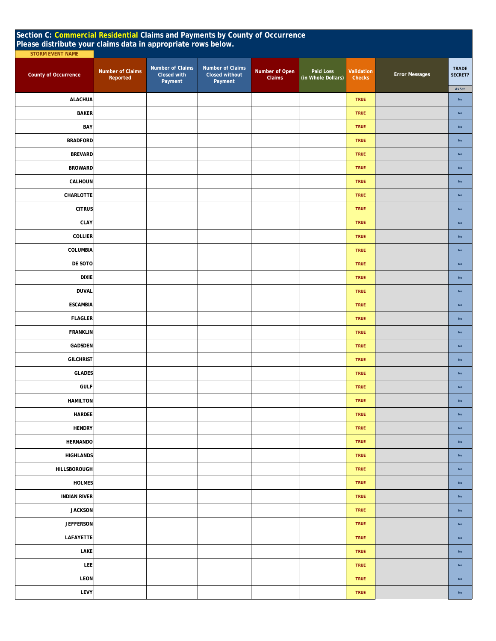|                             | Section C: Commercial Residential Claims and Payments by County of Occurrence<br>Please distribute your claims data in appropriate rows below. |                                            |                                               |                          |                                 |                             |                       |                         |  |  |  |
|-----------------------------|------------------------------------------------------------------------------------------------------------------------------------------------|--------------------------------------------|-----------------------------------------------|--------------------------|---------------------------------|-----------------------------|-----------------------|-------------------------|--|--|--|
| <b>STORM EVENT NAME</b>     |                                                                                                                                                |                                            |                                               |                          |                                 |                             |                       |                         |  |  |  |
| <b>County of Occurrence</b> | <b>Number of Claims</b><br>Reported                                                                                                            | Number of Claims<br>Closed with<br>Payment | Number of Claims<br>Closed without<br>Payment | Number of Open<br>Claims | Paid Loss<br>(in Whole Dollars) | Validation<br><b>Checks</b> | <b>Error Messages</b> | <b>TRADE</b><br>SECRET? |  |  |  |
| <b>ALACHUA</b>              |                                                                                                                                                |                                            |                                               |                          |                                 | <b>TRUE</b>                 |                       | As Set<br>$\mathsf{No}$ |  |  |  |
| <b>BAKER</b>                |                                                                                                                                                |                                            |                                               |                          |                                 | <b>TRUE</b>                 |                       | $\mathsf{No}$           |  |  |  |
| BAY                         |                                                                                                                                                |                                            |                                               |                          |                                 | <b>TRUE</b>                 |                       | $\mathsf{No}$           |  |  |  |
| <b>BRADFORD</b>             |                                                                                                                                                |                                            |                                               |                          |                                 | <b>TRUE</b>                 |                       | $\mathsf{No}$           |  |  |  |
| <b>BREVARD</b>              |                                                                                                                                                |                                            |                                               |                          |                                 | <b>TRUE</b>                 |                       | $\mathsf{No}$           |  |  |  |
| <b>BROWARD</b>              |                                                                                                                                                |                                            |                                               |                          |                                 | <b>TRUE</b>                 |                       | $\mathsf{No}$           |  |  |  |
| CALHOUN                     |                                                                                                                                                |                                            |                                               |                          |                                 | <b>TRUE</b>                 |                       | $\mathsf{No}$           |  |  |  |
| CHARLOTTE                   |                                                                                                                                                |                                            |                                               |                          |                                 | <b>TRUE</b>                 |                       | $\mathsf{No}$           |  |  |  |
| <b>CITRUS</b>               |                                                                                                                                                |                                            |                                               |                          |                                 | <b>TRUE</b>                 |                       | $\mathsf{No}$           |  |  |  |
| CLAY                        |                                                                                                                                                |                                            |                                               |                          |                                 | <b>TRUE</b>                 |                       | $\mathsf{No}$           |  |  |  |
| <b>COLLIER</b>              |                                                                                                                                                |                                            |                                               |                          |                                 | <b>TRUE</b>                 |                       | $\mathsf{No}$           |  |  |  |
| COLUMBIA                    |                                                                                                                                                |                                            |                                               |                          |                                 | <b>TRUE</b>                 |                       | $\mathsf{No}$           |  |  |  |
| DE SOTO                     |                                                                                                                                                |                                            |                                               |                          |                                 | <b>TRUE</b>                 |                       | No                      |  |  |  |
| <b>DIXIE</b>                |                                                                                                                                                |                                            |                                               |                          |                                 | <b>TRUE</b>                 |                       | $\mathsf{No}$           |  |  |  |
| <b>DUVAL</b>                |                                                                                                                                                |                                            |                                               |                          |                                 | <b>TRUE</b>                 |                       | $\mathsf{No}$           |  |  |  |
| <b>ESCAMBIA</b>             |                                                                                                                                                |                                            |                                               |                          |                                 | <b>TRUE</b>                 |                       | $\mathsf{No}$           |  |  |  |
| <b>FLAGLER</b>              |                                                                                                                                                |                                            |                                               |                          |                                 | <b>TRUE</b>                 |                       | $\mathsf{No}$           |  |  |  |
| <b>FRANKLIN</b>             |                                                                                                                                                |                                            |                                               |                          |                                 | <b>TRUE</b>                 |                       | $\mathsf{No}$           |  |  |  |
| GADSDEN                     |                                                                                                                                                |                                            |                                               |                          |                                 | <b>TRUE</b>                 |                       | $\mathsf{No}$           |  |  |  |
| <b>GILCHRIST</b>            |                                                                                                                                                |                                            |                                               |                          |                                 | <b>TRUE</b>                 |                       | $\mathsf{No}$           |  |  |  |
| <b>GLADES</b>               |                                                                                                                                                |                                            |                                               |                          |                                 | <b>TRUE</b>                 |                       | $\mathsf{No}$           |  |  |  |
| <b>GULF</b>                 |                                                                                                                                                |                                            |                                               |                          |                                 | <b>TRUE</b>                 |                       | $\mathsf{No}$           |  |  |  |
| <b>HAMILTON</b>             |                                                                                                                                                |                                            |                                               |                          |                                 | <b>TRUE</b>                 |                       | $\mathsf{No}$           |  |  |  |
| <b>HARDEE</b>               |                                                                                                                                                |                                            |                                               |                          |                                 | <b>TRUE</b>                 |                       | No                      |  |  |  |
| <b>HENDRY</b>               |                                                                                                                                                |                                            |                                               |                          |                                 | <b>TRUE</b>                 |                       | $\mathsf{No}$           |  |  |  |
| <b>HERNANDO</b>             |                                                                                                                                                |                                            |                                               |                          |                                 | <b>TRUE</b>                 |                       | $\mathsf{No}$           |  |  |  |
| <b>HIGHLANDS</b>            |                                                                                                                                                |                                            |                                               |                          |                                 | <b>TRUE</b>                 |                       | No                      |  |  |  |
| HILLSBOROUGH                |                                                                                                                                                |                                            |                                               |                          |                                 | <b>TRUE</b>                 |                       | $\mathsf{No}$           |  |  |  |
| <b>HOLMES</b>               |                                                                                                                                                |                                            |                                               |                          |                                 | <b>TRUE</b>                 |                       | $\mathsf{No}$           |  |  |  |
| <b>INDIAN RIVER</b>         |                                                                                                                                                |                                            |                                               |                          |                                 | <b>TRUE</b>                 |                       | No                      |  |  |  |
| <b>JACKSON</b>              |                                                                                                                                                |                                            |                                               |                          |                                 | <b>TRUE</b>                 |                       | $\mathsf{No}$           |  |  |  |
| <b>JEFFERSON</b>            |                                                                                                                                                |                                            |                                               |                          |                                 | <b>TRUE</b>                 |                       | $\mathsf{No}$           |  |  |  |
| LAFAYETTE                   |                                                                                                                                                |                                            |                                               |                          |                                 | <b>TRUE</b>                 |                       | $\mathsf{No}$           |  |  |  |
| LAKE                        |                                                                                                                                                |                                            |                                               |                          |                                 | <b>TRUE</b>                 |                       | $\mathsf{No}$           |  |  |  |
| <b>LEE</b>                  |                                                                                                                                                |                                            |                                               |                          |                                 | <b>TRUE</b>                 |                       | $\mathsf{No}$           |  |  |  |
| LEON                        |                                                                                                                                                |                                            |                                               |                          |                                 | <b>TRUE</b>                 |                       | $\mathsf{No}$           |  |  |  |
| LEVY                        |                                                                                                                                                |                                            |                                               |                          |                                 | <b>TRUE</b>                 |                       | $\mathsf{No}$           |  |  |  |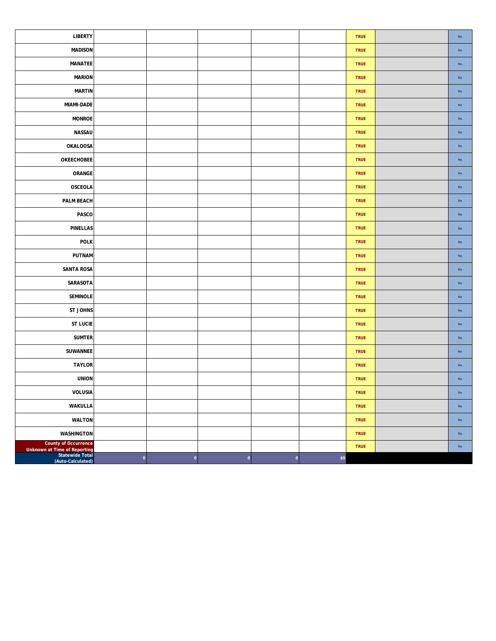| <b>LIBERTY</b>                                                                   |         |   |              |   |     | <b>TRUE</b> | $\mathsf{No}$ |
|----------------------------------------------------------------------------------|---------|---|--------------|---|-----|-------------|---------------|
| <b>MADISON</b>                                                                   |         |   |              |   |     | <b>TRUE</b> | ${\sf No}$    |
| <b>MANATEE</b>                                                                   |         |   |              |   |     | <b>TRUE</b> | $\mathsf{No}$ |
| <b>MARION</b>                                                                    |         |   |              |   |     | TRUE        | $\mathsf{No}$ |
| <b>MARTIN</b>                                                                    |         |   |              |   |     | <b>TRUE</b> | ${\sf No}$    |
| MIAMI-DADE                                                                       |         |   |              |   |     | TRUE        | ${\sf No}$    |
| <b>MONROE</b>                                                                    |         |   |              |   |     | <b>TRUE</b> | $\mathsf{No}$ |
| NASSAU                                                                           |         |   |              |   |     | <b>TRUE</b> | ${\sf No}$    |
| <b>OKALOOSA</b>                                                                  |         |   |              |   |     | <b>TRUE</b> | ${\sf No}$    |
| <b>OKEECHOBEE</b>                                                                |         |   |              |   |     | <b>TRUE</b> | $\mathsf{No}$ |
| ORANGE                                                                           |         |   |              |   |     | TRUE        | $\mathsf{No}$ |
| OSCEOLA                                                                          |         |   |              |   |     | <b>TRUE</b> | ${\sf No}$    |
| PALM BEACH                                                                       |         |   |              |   |     | <b>TRUE</b> | ${\sf No}$    |
| PASCO                                                                            |         |   |              |   |     | <b>TRUE</b> | $\mathsf{No}$ |
| PINELLAS                                                                         |         |   |              |   |     | <b>TRUE</b> | $\mathsf{No}$ |
| POLK                                                                             |         |   |              |   |     | <b>TRUE</b> | No            |
| PUTNAM                                                                           |         |   |              |   |     | TRUE        | $\mathsf{No}$ |
| SANTA ROSA                                                                       |         |   |              |   |     | TRUE        | $\mathsf{No}$ |
| SARASOTA                                                                         |         |   |              |   |     | <b>TRUE</b> | ${\sf No}$    |
| SEMINOLE                                                                         |         |   |              |   |     | <b>TRUE</b> | ${\sf No}$    |
| ST JOHNS                                                                         |         |   |              |   |     | TRUE        | $\mathsf{No}$ |
| <b>ST LUCIE</b>                                                                  |         |   |              |   |     | <b>TRUE</b> | $\mathsf{No}$ |
| <b>SUMTER</b>                                                                    |         |   |              |   |     | <b>TRUE</b> | ${\sf No}$    |
| <b>SUWANNEE</b>                                                                  |         |   |              |   |     | TRUE        | $\mathsf{No}$ |
| <b>TAYLOR</b>                                                                    |         |   |              |   |     | <b>TRUE</b> | $\mathsf{No}$ |
| <b>UNION</b>                                                                     |         |   |              |   |     | <b>TRUE</b> | $\mathsf{No}$ |
| VOLUSIA                                                                          |         |   |              |   |     | TRUE        | $\mathsf{No}$ |
| <b>WAKULLA</b>                                                                   |         |   |              |   |     | <b>TRUE</b> | No            |
| <b>WALTON</b>                                                                    |         |   |              |   |     | <b>TRUE</b> | No            |
| WASHINGTON                                                                       |         |   |              |   |     | <b>TRUE</b> | $\mathsf{No}$ |
| <b>County of Occurrence</b><br>Unknown at Time of Reporting<br>  Statewide Total |         |   |              |   |     | <b>TRUE</b> | No            |
| (Auto-Calculated)                                                                | $\circ$ | 0 | $\mathbf{o}$ | 0 | \$0 |             |               |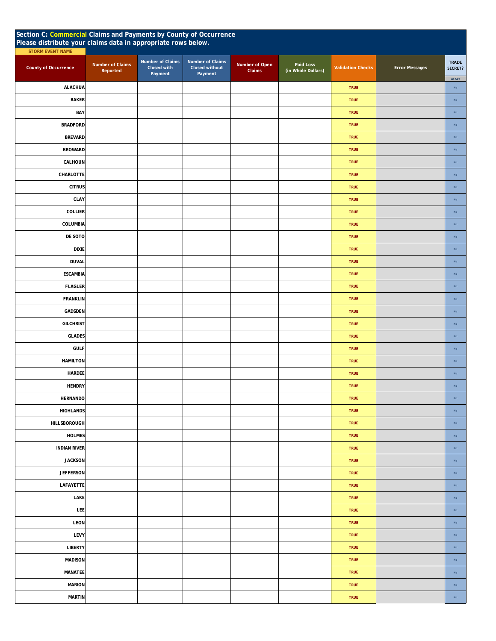| Section C: Commercial Claims and Payments by County of Occurrence<br>Please distribute your claims data in appropriate rows below.<br><b>STORM EVENT NAME</b> |                              |                                            |                                               |                          |                                 |                          |                       |                                   |  |  |
|---------------------------------------------------------------------------------------------------------------------------------------------------------------|------------------------------|--------------------------------------------|-----------------------------------------------|--------------------------|---------------------------------|--------------------------|-----------------------|-----------------------------------|--|--|
| <b>County of Occurrence</b>                                                                                                                                   | Number of Claims<br>Reported | Number of Claims<br>Closed with<br>Payment | Number of Claims<br>Closed without<br>Payment | Number of Open<br>Claims | Paid Loss<br>(in Whole Dollars) | <b>Validation Checks</b> | <b>Error Messages</b> | <b>TRADE</b><br>SECRET?<br>As Set |  |  |
| <b>ALACHUA</b>                                                                                                                                                |                              |                                            |                                               |                          |                                 | <b>TRUE</b>              |                       | No                                |  |  |
| <b>BAKER</b>                                                                                                                                                  |                              |                                            |                                               |                          |                                 | <b>TRUE</b>              |                       | No                                |  |  |
| BAY                                                                                                                                                           |                              |                                            |                                               |                          |                                 | <b>TRUE</b>              |                       | No                                |  |  |
| <b>BRADFORD</b>                                                                                                                                               |                              |                                            |                                               |                          |                                 | <b>TRUE</b>              |                       | No                                |  |  |
| <b>BREVARD</b>                                                                                                                                                |                              |                                            |                                               |                          |                                 | <b>TRUE</b>              |                       | No                                |  |  |
| <b>BROWARD</b>                                                                                                                                                |                              |                                            |                                               |                          |                                 | <b>TRUE</b>              |                       | No                                |  |  |
| CALHOUN                                                                                                                                                       |                              |                                            |                                               |                          |                                 | <b>TRUE</b>              |                       | $\mathsf{No}$                     |  |  |
| CHARLOTTE                                                                                                                                                     |                              |                                            |                                               |                          |                                 | <b>TRUE</b>              |                       | $_{\sf No}$                       |  |  |
| <b>CITRUS</b>                                                                                                                                                 |                              |                                            |                                               |                          |                                 | <b>TRUE</b>              |                       | No                                |  |  |
| CLAY                                                                                                                                                          |                              |                                            |                                               |                          |                                 | <b>TRUE</b>              |                       | No                                |  |  |
| <b>COLLIER</b>                                                                                                                                                |                              |                                            |                                               |                          |                                 | <b>TRUE</b>              |                       | No                                |  |  |
| COLUMBIA                                                                                                                                                      |                              |                                            |                                               |                          |                                 | <b>TRUE</b>              |                       | No                                |  |  |
| DE SOTO                                                                                                                                                       |                              |                                            |                                               |                          |                                 | <b>TRUE</b>              |                       | No                                |  |  |
| <b>DIXIE</b>                                                                                                                                                  |                              |                                            |                                               |                          |                                 | <b>TRUE</b>              |                       | $\mathsf{No}$                     |  |  |
| <b>DUVAL</b>                                                                                                                                                  |                              |                                            |                                               |                          |                                 | <b>TRUE</b>              |                       | $\mathsf{No}$                     |  |  |
| <b>ESCAMBIA</b>                                                                                                                                               |                              |                                            |                                               |                          |                                 | <b>TRUE</b>              |                       | $\mathsf{No}$                     |  |  |
| <b>FLAGLER</b>                                                                                                                                                |                              |                                            |                                               |                          |                                 | <b>TRUE</b>              |                       | No                                |  |  |
| <b>FRANKLIN</b>                                                                                                                                               |                              |                                            |                                               |                          |                                 | <b>TRUE</b>              |                       | $\mathsf{No}$                     |  |  |
| GADSDEN                                                                                                                                                       |                              |                                            |                                               |                          |                                 | <b>TRUE</b>              |                       | $\mathsf{No}$                     |  |  |
| <b>GILCHRIST</b>                                                                                                                                              |                              |                                            |                                               |                          |                                 | <b>TRUE</b>              |                       | No                                |  |  |
| <b>GLADES</b>                                                                                                                                                 |                              |                                            |                                               |                          |                                 | <b>TRUE</b>              |                       | No                                |  |  |
| <b>GULF</b>                                                                                                                                                   |                              |                                            |                                               |                          |                                 | <b>TRUE</b>              |                       | $\mathsf{No}$                     |  |  |
| <b>HAMILTON</b>                                                                                                                                               |                              |                                            |                                               |                          |                                 | <b>TRUE</b>              |                       | $_{\sf No}$                       |  |  |
| HARDEE                                                                                                                                                        |                              |                                            |                                               |                          |                                 | <b>TRUE</b>              |                       | No                                |  |  |
| <b>HENDRY</b>                                                                                                                                                 |                              |                                            |                                               |                          |                                 | <b>TRUE</b>              |                       | No                                |  |  |
| <b>HERNANDO</b>                                                                                                                                               |                              |                                            |                                               |                          |                                 | <b>TRUE</b>              |                       | No                                |  |  |
| <b>HIGHLANDS</b>                                                                                                                                              |                              |                                            |                                               |                          |                                 | <b>TRUE</b>              |                       | $_{\rm No}$                       |  |  |
| <b>HILLSBOROUGH</b>                                                                                                                                           |                              |                                            |                                               |                          |                                 | <b>TRUE</b>              |                       | $_{\sf No}$                       |  |  |
| <b>HOLMES</b>                                                                                                                                                 |                              |                                            |                                               |                          |                                 | TRUE                     |                       | $\mathsf{No}$                     |  |  |
| <b>INDIAN RIVER</b>                                                                                                                                           |                              |                                            |                                               |                          |                                 | <b>TRUE</b>              |                       | $\mathsf{No}$                     |  |  |
| <b>JACKSON</b>                                                                                                                                                |                              |                                            |                                               |                          |                                 | <b>TRUE</b>              |                       | $\mathsf{No}$                     |  |  |
| <b>JEFFERSON</b>                                                                                                                                              |                              |                                            |                                               |                          |                                 | <b>TRUE</b>              |                       | No                                |  |  |
| LAFAYETTE                                                                                                                                                     |                              |                                            |                                               |                          |                                 | <b>TRUE</b>              |                       | $\mathsf{No}$                     |  |  |
| LAKE                                                                                                                                                          |                              |                                            |                                               |                          |                                 | <b>TRUE</b>              |                       | $_{\rm No}$                       |  |  |
| <b>LEE</b>                                                                                                                                                    |                              |                                            |                                               |                          |                                 | <b>TRUE</b>              |                       | $_{\rm No}$                       |  |  |
| LEON                                                                                                                                                          |                              |                                            |                                               |                          |                                 | TRUE                     |                       | No                                |  |  |
| LEVY                                                                                                                                                          |                              |                                            |                                               |                          |                                 | <b>TRUE</b>              |                       | $\mathsf{No}$                     |  |  |
| <b>LIBERTY</b>                                                                                                                                                |                              |                                            |                                               |                          |                                 | <b>TRUE</b>              |                       | No                                |  |  |
| <b>MADISON</b>                                                                                                                                                |                              |                                            |                                               |                          |                                 | <b>TRUE</b>              |                       | No                                |  |  |
| MANATEE                                                                                                                                                       |                              |                                            |                                               |                          |                                 | <b>TRUE</b>              |                       | $\mathsf{No}$                     |  |  |
| <b>MARION</b>                                                                                                                                                 |                              |                                            |                                               |                          |                                 | <b>TRUE</b>              |                       | $\mathsf{No}$                     |  |  |
| <b>MARTIN</b>                                                                                                                                                 |                              |                                            |                                               |                          |                                 | <b>TRUE</b>              |                       | $\mathsf{No}$                     |  |  |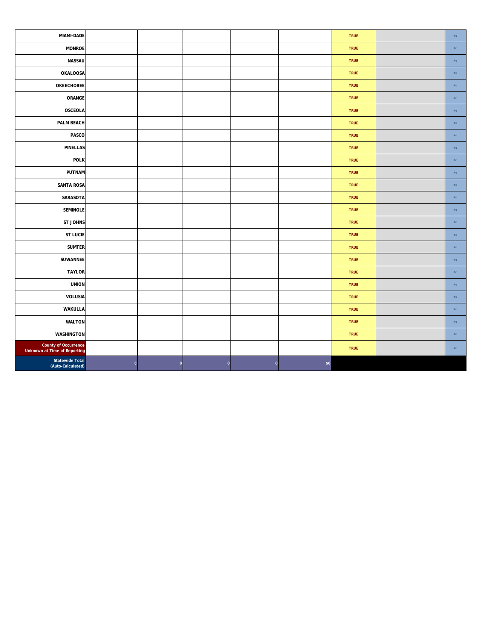| <b>MIAMI-DADE</b>                                    |              |   |   |              |        | <b>TRUE</b> | No            |
|------------------------------------------------------|--------------|---|---|--------------|--------|-------------|---------------|
| <b>MONROE</b>                                        |              |   |   |              |        | <b>TRUE</b> | $_{\sf No}$   |
| NASSAU                                               |              |   |   |              |        | <b>TRUE</b> | $\mathsf{No}$ |
| <b>OKALOOSA</b>                                      |              |   |   |              |        | TRUE        | $_{\sf No}$   |
| OKEECHOBEE                                           |              |   |   |              |        | <b>TRUE</b> | $_{\sf No}$   |
| ORANGE                                               |              |   |   |              |        | <b>TRUE</b> | $\mathsf{No}$ |
| OSCEOLA                                              |              |   |   |              |        | <b>TRUE</b> | No            |
| <b>PALM BEACH</b>                                    |              |   |   |              |        | <b>TRUE</b> | $_{\rm No}$   |
| PASCO                                                |              |   |   |              |        | <b>TRUE</b> | No            |
| <b>PINELLAS</b>                                      |              |   |   |              |        | <b>TRUE</b> | $_{\sf No}$   |
| <b>POLK</b>                                          |              |   |   |              |        | <b>TRUE</b> | $_{\sf No}$   |
| PUTNAM                                               |              |   |   |              |        | TRUE        | $_{\sf No}$   |
| <b>SANTA ROSA</b>                                    |              |   |   |              |        | <b>TRUE</b> | $_{\sf No}$   |
| SARASOTA                                             |              |   |   |              |        | <b>TRUE</b> | $\mathsf{No}$ |
| <b>SEMINOLE</b>                                      |              |   |   |              |        | <b>TRUE</b> | $\mathsf{No}$ |
| <b>ST JOHNS</b>                                      |              |   |   |              |        | <b>TRUE</b> | $_{\sf No}$   |
| <b>ST LUCIE</b>                                      |              |   |   |              |        | <b>TRUE</b> | $_{\rm No}$   |
| <b>SUMTER</b>                                        |              |   |   |              |        | <b>TRUE</b> | $\mathsf{No}$ |
| SUWANNEE                                             |              |   |   |              |        | <b>TRUE</b> | $_{\rm No}$   |
| <b>TAYLOR</b>                                        |              |   |   |              |        | <b>TRUE</b> | No            |
| <b>UNION</b>                                         |              |   |   |              |        | <b>TRUE</b> | $_{\rm No}$   |
| VOLUSIA                                              |              |   |   |              |        | <b>TRUE</b> | $_{\rm No}$   |
| WAKULLA                                              |              |   |   |              |        | <b>TRUE</b> | $_{\sf No}$   |
| <b>WALTON</b>                                        |              |   |   |              |        | <b>TRUE</b> | $_{\sf No}$   |
| <b>WASHINGTON</b>                                    |              |   |   |              |        | <b>TRUE</b> | $\mathsf{No}$ |
| County of Occurrence<br>Unknown at Time of Reporting |              |   |   |              |        | <b>TRUE</b> | $\mathsf{No}$ |
| Statewide Total<br>(Auto-Calculated)                 | $\mathbf{o}$ | 0 | 0 | $\mathbf{0}$ | $$0\,$ |             |               |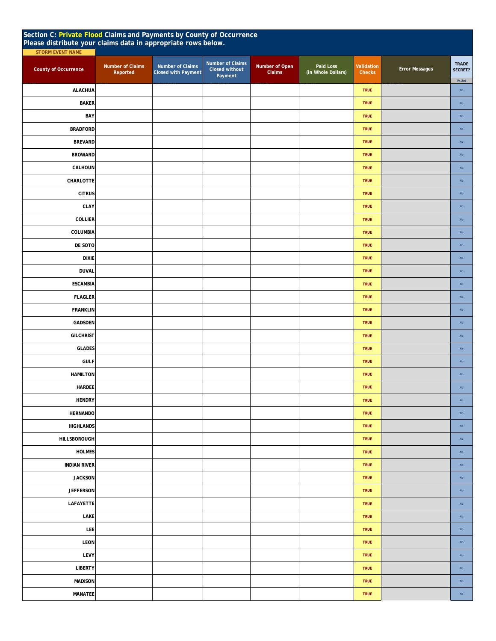| Section C: Private Flood Claims and Payments by County of Occurrence<br>Please distribute your claims data in appropriate rows below. |                                     |                                                |                                               |                          |                                 |                      |                       |                         |
|---------------------------------------------------------------------------------------------------------------------------------------|-------------------------------------|------------------------------------------------|-----------------------------------------------|--------------------------|---------------------------------|----------------------|-----------------------|-------------------------|
| STORM EVENT NAME<br><b>County of Occurrence</b>                                                                                       | <b>Number of Claims</b><br>Reported | Number of Claims<br><b>Closed with Payment</b> | Number of Claims<br>Closed without<br>Payment | Number of Open<br>Claims | Paid Loss<br>(in Whole Dollars) | Validation<br>Checks | <b>Error Messages</b> | <b>TRADE</b><br>SECRET? |
| <b>ALACHUA</b>                                                                                                                        |                                     |                                                |                                               |                          |                                 | <b>TRUE</b>          |                       | As Set<br>$\mathsf{No}$ |
| <b>BAKER</b>                                                                                                                          |                                     |                                                |                                               |                          |                                 | <b>TRUE</b>          |                       | No                      |
| BAY                                                                                                                                   |                                     |                                                |                                               |                          |                                 | <b>TRUE</b>          |                       | $\mathsf{No}$           |
| <b>BRADFORD</b>                                                                                                                       |                                     |                                                |                                               |                          |                                 | <b>TRUE</b>          |                       | $\mathsf{No}$           |
| <b>BREVARD</b>                                                                                                                        |                                     |                                                |                                               |                          |                                 | <b>TRUE</b>          |                       | $\mathsf{No}$           |
| <b>BROWARD</b>                                                                                                                        |                                     |                                                |                                               |                          |                                 | <b>TRUE</b>          |                       | $\mathsf{No}$           |
| CALHOUN                                                                                                                               |                                     |                                                |                                               |                          |                                 | <b>TRUE</b>          |                       | $\mathsf{No}$           |
| CHARLOTTE                                                                                                                             |                                     |                                                |                                               |                          |                                 | <b>TRUE</b>          |                       | $\mathsf{No}$           |
| <b>CITRUS</b>                                                                                                                         |                                     |                                                |                                               |                          |                                 | <b>TRUE</b>          |                       | $\mathsf{No}$           |
| CLAY                                                                                                                                  |                                     |                                                |                                               |                          |                                 | <b>TRUE</b>          |                       | No                      |
| COLLIER                                                                                                                               |                                     |                                                |                                               |                          |                                 | <b>TRUE</b>          |                       | $\mathsf{No}$           |
| COLUMBIA                                                                                                                              |                                     |                                                |                                               |                          |                                 | <b>TRUE</b>          |                       | $\mathsf{No}$           |
| DE SOTO                                                                                                                               |                                     |                                                |                                               |                          |                                 | <b>TRUE</b>          |                       | No                      |
| <b>DIXIE</b>                                                                                                                          |                                     |                                                |                                               |                          |                                 | <b>TRUE</b>          |                       | $\mathsf{No}$           |
| <b>DUVAL</b>                                                                                                                          |                                     |                                                |                                               |                          |                                 | <b>TRUE</b>          |                       | $\mathsf{No}$           |
| <b>ESCAMBIA</b>                                                                                                                       |                                     |                                                |                                               |                          |                                 | <b>TRUE</b>          |                       | $\mathsf{No}$           |
| <b>FLAGLER</b>                                                                                                                        |                                     |                                                |                                               |                          |                                 | <b>TRUE</b>          |                       | $\mathsf{No}$           |
| <b>FRANKLIN</b>                                                                                                                       |                                     |                                                |                                               |                          |                                 | <b>TRUE</b>          |                       | $\mathsf{No}$           |
| GADSDEN                                                                                                                               |                                     |                                                |                                               |                          |                                 | <b>TRUE</b>          |                       | $\mathsf{No}$           |
| <b>GILCHRIST</b>                                                                                                                      |                                     |                                                |                                               |                          |                                 | <b>TRUE</b>          |                       | $\mathsf{No}$           |
| <b>GLADES</b>                                                                                                                         |                                     |                                                |                                               |                          |                                 | <b>TRUE</b>          |                       | $\mathsf{No}$           |
| <b>GULF</b>                                                                                                                           |                                     |                                                |                                               |                          |                                 | <b>TRUE</b>          |                       | $\mathsf{No}$           |
| <b>HAMILTON</b>                                                                                                                       |                                     |                                                |                                               |                          |                                 | <b>TRUE</b>          |                       | $\mathsf{No}$           |
| <b>HARDEE</b>                                                                                                                         |                                     |                                                |                                               |                          |                                 | <b>TRUE</b>          |                       | $\mathsf{No}$           |
| <b>HENDRY</b>                                                                                                                         |                                     |                                                |                                               |                          |                                 | <b>TRUE</b>          |                       | $\mathsf{No}$           |
| <b>HERNANDO</b>                                                                                                                       |                                     |                                                |                                               |                          |                                 | <b>TRUE</b>          |                       | $\mathsf{No}$           |
| <b>HIGHLANDS</b>                                                                                                                      |                                     |                                                |                                               |                          |                                 | <b>TRUE</b>          |                       | No                      |
| HILLSBOROUGH                                                                                                                          |                                     |                                                |                                               |                          |                                 | <b>TRUE</b>          |                       | $\mathsf{No}$           |
| <b>HOLMES</b>                                                                                                                         |                                     |                                                |                                               |                          |                                 | <b>TRUE</b>          |                       | $\mathsf{No}$           |
| <b>INDIAN RIVER</b>                                                                                                                   |                                     |                                                |                                               |                          |                                 | <b>TRUE</b>          |                       | No                      |
| <b>JACKSON</b>                                                                                                                        |                                     |                                                |                                               |                          |                                 | <b>TRUE</b>          |                       | $\mathsf{No}$           |
| <b>JEFFERSON</b>                                                                                                                      |                                     |                                                |                                               |                          |                                 | <b>TRUE</b>          |                       | $\mathsf{No}$           |
| LAFAYETTE                                                                                                                             |                                     |                                                |                                               |                          |                                 | <b>TRUE</b>          |                       | $\mathsf{No}$           |
| LAKE                                                                                                                                  |                                     |                                                |                                               |                          |                                 | <b>TRUE</b>          |                       | $\mathsf{No}$           |
| LEE                                                                                                                                   |                                     |                                                |                                               |                          |                                 | <b>TRUE</b>          |                       | $\mathsf{No}$           |
| LEON                                                                                                                                  |                                     |                                                |                                               |                          |                                 | <b>TRUE</b>          |                       | $\mathsf{No}$           |
| LEVY                                                                                                                                  |                                     |                                                |                                               |                          |                                 | <b>TRUE</b>          |                       | $\mathsf{No}$           |
| <b>LIBERTY</b>                                                                                                                        |                                     |                                                |                                               |                          |                                 | <b>TRUE</b>          |                       | $\mathsf{No}$           |
| <b>MADISON</b>                                                                                                                        |                                     |                                                |                                               |                          |                                 | <b>TRUE</b>          |                       | $\mathsf{No}$           |
| MANATEE                                                                                                                               |                                     |                                                |                                               |                          |                                 | <b>TRUE</b>          |                       | $\mathsf{No}$           |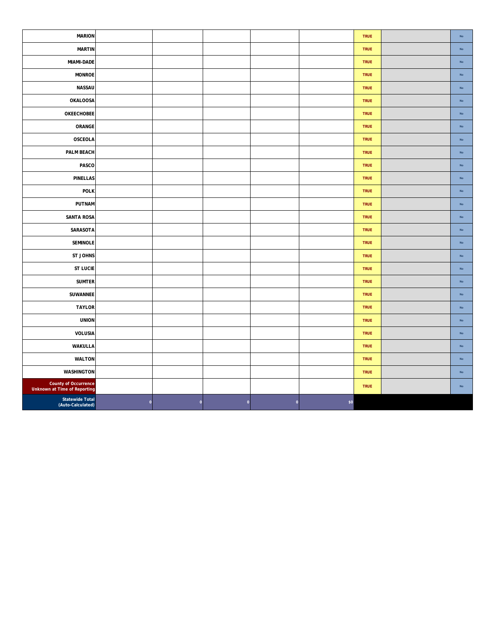| <b>MARION</b>                                        |              |                    |              |   |     | TRUE        | $\mathsf{No}$ |
|------------------------------------------------------|--------------|--------------------|--------------|---|-----|-------------|---------------|
| <b>MARTIN</b>                                        |              |                    |              |   |     | <b>TRUE</b> | $\mathsf{No}$ |
| MIAMI-DADE                                           |              |                    |              |   |     | <b>TRUE</b> | $\mathsf{No}$ |
| <b>MONROE</b>                                        |              |                    |              |   |     | <b>TRUE</b> | $\mathsf{No}$ |
| NASSAU                                               |              |                    |              |   |     | <b>TRUE</b> | $\mathsf{No}$ |
| <b>OKALOOSA</b>                                      |              |                    |              |   |     | <b>TRUE</b> | $\mathsf{No}$ |
| OKEECHOBEE                                           |              |                    |              |   |     | <b>TRUE</b> | $\mathsf{No}$ |
| ORANGE                                               |              |                    |              |   |     | <b>TRUE</b> | $\mathsf{No}$ |
| OSCEOLA                                              |              |                    |              |   |     | <b>TRUE</b> | $\mathsf{No}$ |
| PALM BEACH                                           |              |                    |              |   |     | <b>TRUE</b> | $\mathsf{No}$ |
| PASCO                                                |              |                    |              |   |     | TRUE        | $\mathsf{No}$ |
| <b>PINELLAS</b>                                      |              |                    |              |   |     | TRUE        | $\mathsf{No}$ |
| <b>POLK</b>                                          |              |                    |              |   |     | <b>TRUE</b> | $\mathsf{No}$ |
| PUTNAM                                               |              |                    |              |   |     | <b>TRUE</b> | $\mathsf{No}$ |
| <b>SANTA ROSA</b>                                    |              |                    |              |   |     | <b>TRUE</b> | $\mathsf{No}$ |
| SARASOTA                                             |              |                    |              |   |     | <b>TRUE</b> | $\mathsf{No}$ |
| <b>SEMINOLE</b>                                      |              |                    |              |   |     | <b>TRUE</b> | $\mathsf{No}$ |
| ST JOHNS                                             |              |                    |              |   |     | <b>TRUE</b> | $\mathsf{No}$ |
| <b>ST LUCIE</b>                                      |              |                    |              |   |     | <b>TRUE</b> | $\mathsf{No}$ |
| <b>SUMTER</b>                                        |              |                    |              |   |     | <b>TRUE</b> | $\mathsf{No}$ |
| SUWANNEE                                             |              |                    |              |   |     | <b>TRUE</b> | $\mathsf{No}$ |
| <b>TAYLOR</b>                                        |              |                    |              |   |     | <b>TRUE</b> | $\mathsf{No}$ |
| <b>UNION</b>                                         |              |                    |              |   |     | <b>TRUE</b> | $\mathsf{No}$ |
| VOLUSIA                                              |              |                    |              |   |     | TRUE        | $\mathsf{No}$ |
| WAKULLA                                              |              |                    |              |   |     | TRUE        | $\mathsf{No}$ |
| <b>WALTON</b>                                        |              |                    |              |   |     | TRUE        | $\mathsf{No}$ |
| <b>WASHINGTON</b>                                    |              |                    |              |   |     | TRUE        | $\mathsf{No}$ |
| County of Occurrence<br>Unknown at Time of Reporting |              |                    |              |   |     | <b>TRUE</b> | $\mathsf{No}$ |
| <b>Statewide Total</b><br>(Auto-Calculated)          | $\mathbf{0}$ | $\pmb{\mathsf{O}}$ | $\mathbf{0}$ | 0 | \$0 |             |               |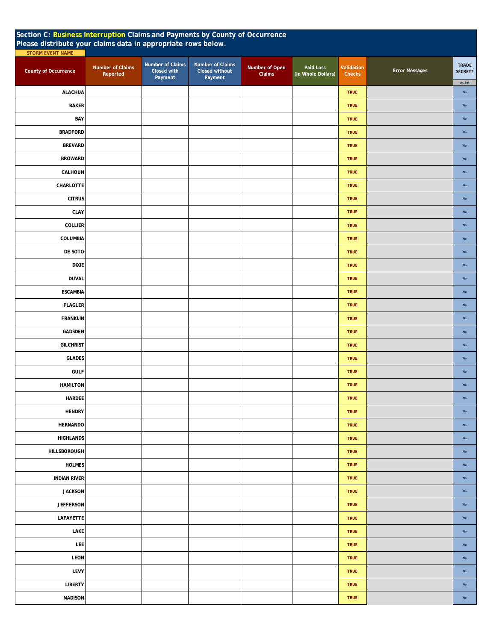| Section C: Business Interruption Claims and Payments by County of Occurrence<br>Please distribute your claims data in appropriate rows below.<br><b>STORM EVENT NAME</b> |                                     |                                                   |                                               |                          |                                 |                      |                       |                                   |
|--------------------------------------------------------------------------------------------------------------------------------------------------------------------------|-------------------------------------|---------------------------------------------------|-----------------------------------------------|--------------------------|---------------------------------|----------------------|-----------------------|-----------------------------------|
| <b>County of Occurrence</b>                                                                                                                                              | <b>Number of Claims</b><br>Reported | Number of Claims<br><b>Closed with</b><br>Payment | Number of Claims<br>Closed without<br>Payment | Number of Open<br>Claims | Paid Loss<br>(in Whole Dollars) | Validation<br>Checks | <b>Error Messages</b> | <b>TRADE</b><br>SECRET?<br>As Set |
| <b>ALACHUA</b>                                                                                                                                                           |                                     |                                                   |                                               |                          |                                 | <b>TRUE</b>          |                       | No                                |
| <b>BAKER</b>                                                                                                                                                             |                                     |                                                   |                                               |                          |                                 | <b>TRUE</b>          |                       | $\mathsf{No}$                     |
| BAY                                                                                                                                                                      |                                     |                                                   |                                               |                          |                                 | <b>TRUE</b>          |                       | <b>No</b>                         |
| <b>BRADFORD</b>                                                                                                                                                          |                                     |                                                   |                                               |                          |                                 | <b>TRUE</b>          |                       | <b>No</b>                         |
| <b>BREVARD</b>                                                                                                                                                           |                                     |                                                   |                                               |                          |                                 | <b>TRUE</b>          |                       | $\mathsf{No}$                     |
| <b>BROWARD</b>                                                                                                                                                           |                                     |                                                   |                                               |                          |                                 | <b>TRUE</b>          |                       | $\mathsf{No}$                     |
| CALHOUN                                                                                                                                                                  |                                     |                                                   |                                               |                          |                                 | <b>TRUE</b>          |                       | No                                |
| CHARLOTTE                                                                                                                                                                |                                     |                                                   |                                               |                          |                                 | <b>TRUE</b>          |                       | $\mathsf{No}$                     |
| <b>CITRUS</b>                                                                                                                                                            |                                     |                                                   |                                               |                          |                                 | <b>TRUE</b>          |                       | $\mathsf{No}$                     |
| CLAY                                                                                                                                                                     |                                     |                                                   |                                               |                          |                                 | <b>TRUE</b>          |                       | $\mathsf{No}$                     |
| <b>COLLIER</b>                                                                                                                                                           |                                     |                                                   |                                               |                          |                                 | <b>TRUE</b>          |                       | $\mathsf{No}$                     |
| COLUMBIA                                                                                                                                                                 |                                     |                                                   |                                               |                          |                                 | <b>TRUE</b>          |                       | $\mathsf{No}$                     |
| DE SOTO                                                                                                                                                                  |                                     |                                                   |                                               |                          |                                 | <b>TRUE</b>          |                       | $\mathsf{No}$                     |
| <b>DIXIE</b>                                                                                                                                                             |                                     |                                                   |                                               |                          |                                 | <b>TRUE</b>          |                       | $\mathsf{No}$                     |
| <b>DUVAL</b>                                                                                                                                                             |                                     |                                                   |                                               |                          |                                 | <b>TRUE</b>          |                       | No                                |
| <b>ESCAMBIA</b>                                                                                                                                                          |                                     |                                                   |                                               |                          |                                 | <b>TRUE</b>          |                       | $\mathsf{No}$                     |
| <b>FLAGLER</b>                                                                                                                                                           |                                     |                                                   |                                               |                          |                                 | <b>TRUE</b>          |                       | $\mathsf{No}$                     |
| <b>FRANKLIN</b>                                                                                                                                                          |                                     |                                                   |                                               |                          |                                 | <b>TRUE</b>          |                       | $\mathsf{No}$                     |
| <b>GADSDEN</b>                                                                                                                                                           |                                     |                                                   |                                               |                          |                                 | <b>TRUE</b>          |                       | $\mathsf{No}$                     |
| <b>GILCHRIST</b>                                                                                                                                                         |                                     |                                                   |                                               |                          |                                 | <b>TRUE</b>          |                       | No                                |
| <b>GLADES</b>                                                                                                                                                            |                                     |                                                   |                                               |                          |                                 | <b>TRUE</b>          |                       | $\mathsf{No}$                     |
| <b>GULF</b>                                                                                                                                                              |                                     |                                                   |                                               |                          |                                 | <b>TRUE</b>          |                       | <b>No</b>                         |
| <b>HAMILTON</b>                                                                                                                                                          |                                     |                                                   |                                               |                          |                                 | <b>TRUE</b>          |                       | No                                |
| HARDEE                                                                                                                                                                   |                                     |                                                   |                                               |                          |                                 | <b>TRUE</b>          |                       | No                                |
| <b>HENDRY</b>                                                                                                                                                            |                                     |                                                   |                                               |                          |                                 | <b>TRUE</b>          |                       | $\mathsf{No}$                     |
| <b>HERNANDO</b>                                                                                                                                                          |                                     |                                                   |                                               |                          |                                 | <b>TRUE</b>          |                       | $\mathsf{No}$                     |
| <b>HIGHLANDS</b>                                                                                                                                                         |                                     |                                                   |                                               |                          |                                 | <b>TRUE</b>          |                       | $\mathsf{No}$                     |
| HILLSBOROUGH                                                                                                                                                             |                                     |                                                   |                                               |                          |                                 | <b>TRUE</b>          |                       | $\mathsf{No}$                     |
| <b>HOLMES</b>                                                                                                                                                            |                                     |                                                   |                                               |                          |                                 | <b>TRUE</b>          |                       | $\mathsf{No}$                     |
| <b>INDIAN RIVER</b>                                                                                                                                                      |                                     |                                                   |                                               |                          |                                 | <b>TRUE</b>          |                       | $\mathsf{No}$                     |
| <b>JACKSON</b>                                                                                                                                                           |                                     |                                                   |                                               |                          |                                 | <b>TRUE</b>          |                       | $\mathsf{No}$                     |
| <b>JEFFERSON</b>                                                                                                                                                         |                                     |                                                   |                                               |                          |                                 | <b>TRUE</b>          |                       | $\mathsf{No}$                     |
| LAFAYETTE                                                                                                                                                                |                                     |                                                   |                                               |                          |                                 | <b>TRUE</b>          |                       | $\mathsf{No}$                     |
| LAKE                                                                                                                                                                     |                                     |                                                   |                                               |                          |                                 | <b>TRUE</b>          |                       | $\mathsf{No}$                     |
| LEE                                                                                                                                                                      |                                     |                                                   |                                               |                          |                                 | <b>TRUE</b>          |                       | $\mathsf{No}$                     |
| <b>LEON</b>                                                                                                                                                              |                                     |                                                   |                                               |                          |                                 | <b>TRUE</b>          |                       | $\mathsf{No}$                     |
| LEVY                                                                                                                                                                     |                                     |                                                   |                                               |                          |                                 | <b>TRUE</b>          |                       | $\mathsf{No}$                     |
| <b>LIBERTY</b>                                                                                                                                                           |                                     |                                                   |                                               |                          |                                 | <b>TRUE</b>          |                       | $\mathsf{No}$                     |
| <b>MADISON</b>                                                                                                                                                           |                                     |                                                   |                                               |                          |                                 | <b>TRUE</b>          |                       | $\mathsf{No}$                     |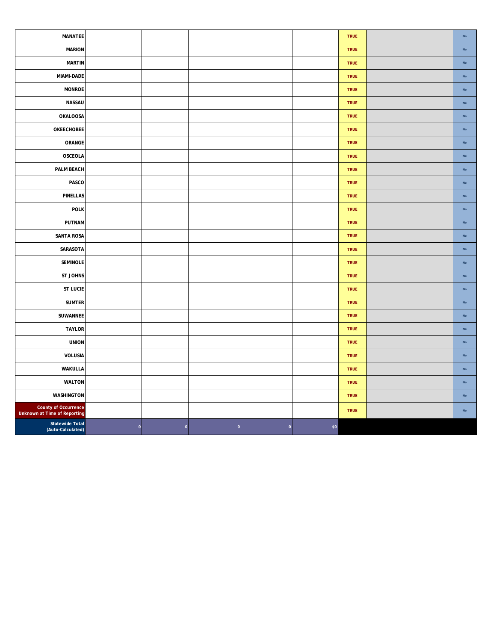| MANATEE                                              |         |         |             |             |        | TRUE        | $\mathsf{No}$ |
|------------------------------------------------------|---------|---------|-------------|-------------|--------|-------------|---------------|
| <b>MARION</b>                                        |         |         |             |             |        | <b>TRUE</b> | $\mathsf{No}$ |
| <b>MARTIN</b>                                        |         |         |             |             |        | <b>TRUE</b> | $\mathsf{No}$ |
| MIAMI-DADE                                           |         |         |             |             |        | <b>TRUE</b> | $\mathsf{No}$ |
| <b>MONROE</b>                                        |         |         |             |             |        | <b>TRUE</b> | No            |
| NASSAU                                               |         |         |             |             |        | TRUE        | $\mathsf{No}$ |
| OKALOOSA                                             |         |         |             |             |        | TRUE        | $\mathsf{No}$ |
| OKEECHOBEE                                           |         |         |             |             |        | TRUE        | $\mathsf{No}$ |
| ORANGE                                               |         |         |             |             |        | TRUE        | No            |
| OSCEOLA                                              |         |         |             |             |        | <b>TRUE</b> | $\mathsf{No}$ |
| PALM BEACH                                           |         |         |             |             |        | TRUE        | No            |
| PASCO                                                |         |         |             |             |        | <b>TRUE</b> | $\mathsf{No}$ |
| <b>PINELLAS</b>                                      |         |         |             |             |        | <b>TRUE</b> | $\mathsf{No}$ |
| <b>POLK</b>                                          |         |         |             |             |        | TRUE        | $\mathsf{No}$ |
| PUTNAM                                               |         |         |             |             |        | <b>TRUE</b> | $\mathsf{No}$ |
| <b>SANTA ROSA</b>                                    |         |         |             |             |        | TRUE        | $\mathsf{No}$ |
| SARASOTA                                             |         |         |             |             |        | <b>TRUE</b> | $\mathsf{No}$ |
| <b>SEMINOLE</b>                                      |         |         |             |             |        | <b>TRUE</b> | No            |
| <b>ST JOHNS</b>                                      |         |         |             |             |        | <b>TRUE</b> | $\mathsf{No}$ |
| <b>ST LUCIE</b>                                      |         |         |             |             |        | TRUE        | $\mathsf{No}$ |
| <b>SUMTER</b>                                        |         |         |             |             |        | TRUE        | $\mathsf{No}$ |
| SUWANNEE                                             |         |         |             |             |        | TRUE        | No            |
| <b>TAYLOR</b>                                        |         |         |             |             |        | TRUE        | $\mathsf{No}$ |
| <b>UNION</b>                                         |         |         |             |             |        | TRUE        | $\mathsf{No}$ |
| VOLUSIA                                              |         |         |             |             |        | <b>TRUE</b> | $\mathsf{No}$ |
| WAKULLA                                              |         |         |             |             |        | TRUE        | $\mathsf{No}$ |
| <b>WALTON</b>                                        |         |         |             |             |        | TRUE        | $\mathsf{No}$ |
| <b>WASHINGTON</b>                                    |         |         |             |             |        | <b>TRUE</b> | $\mathsf{No}$ |
| County of Occurrence<br>Unknown at Time of Reporting |         |         |             |             |        | <b>TRUE</b> | No            |
| <b>Statewide Total</b><br>(Auto-Calculated)          | $\circ$ | $\circ$ | $\mathbf 0$ | $\mathbf 0$ | $$0\,$ |             |               |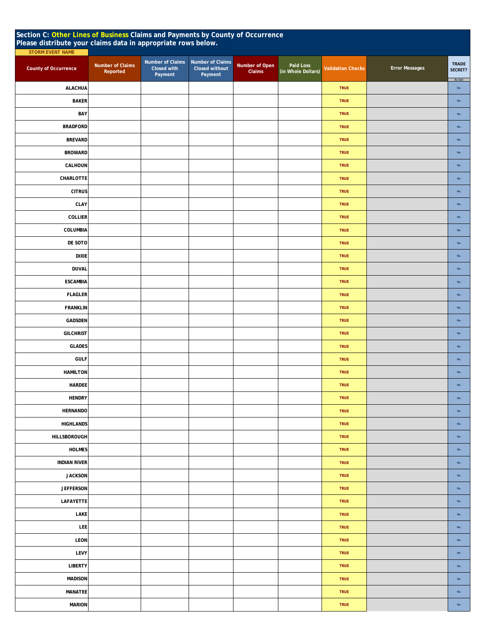| Section C: Other Lines of Business Claims and Payments by County of Occurrence<br>Please distribute your claims data in appropriate rows below.<br><b>STORM EVENT NAME</b> |                              |                                            |                                                      |                          |                                 |                          |                       |                                   |  |
|----------------------------------------------------------------------------------------------------------------------------------------------------------------------------|------------------------------|--------------------------------------------|------------------------------------------------------|--------------------------|---------------------------------|--------------------------|-----------------------|-----------------------------------|--|
| County of Occurrence                                                                                                                                                       | Number of Claims<br>Reported | Number of Claims<br>Closed with<br>Payment | Number of Claims<br><b>Closed without</b><br>Payment | Number of Open<br>Claims | Paid Loss<br>(in Whole Dollars) | <b>Validation Checks</b> | <b>Error Messages</b> | <b>TRADE</b><br>SECRET?<br>As Set |  |
| <b>ALACHUA</b>                                                                                                                                                             |                              |                                            |                                                      |                          |                                 | <b>TRUE</b>              |                       | <b>No</b>                         |  |
| <b>BAKER</b>                                                                                                                                                               |                              |                                            |                                                      |                          |                                 | <b>TRUE</b>              |                       | No                                |  |
| BAY                                                                                                                                                                        |                              |                                            |                                                      |                          |                                 | <b>TRUE</b>              |                       | No                                |  |
| <b>BRADFORD</b>                                                                                                                                                            |                              |                                            |                                                      |                          |                                 | <b>TRUE</b>              |                       | <b>No</b>                         |  |
| <b>BREVARD</b>                                                                                                                                                             |                              |                                            |                                                      |                          |                                 | <b>TRUE</b>              |                       | No                                |  |
| <b>BROWARD</b>                                                                                                                                                             |                              |                                            |                                                      |                          |                                 | <b>TRUE</b>              |                       | No                                |  |
| CALHOUN                                                                                                                                                                    |                              |                                            |                                                      |                          |                                 | <b>TRUE</b>              |                       | $\mathsf{No}$                     |  |
| CHARLOTTE                                                                                                                                                                  |                              |                                            |                                                      |                          |                                 | <b>TRUE</b>              |                       | No                                |  |
| <b>CITRUS</b>                                                                                                                                                              |                              |                                            |                                                      |                          |                                 | <b>TRUE</b>              |                       | No                                |  |
| CLAY                                                                                                                                                                       |                              |                                            |                                                      |                          |                                 | <b>TRUE</b>              |                       | $\mathsf{No}$                     |  |
| COLLIER                                                                                                                                                                    |                              |                                            |                                                      |                          |                                 | <b>TRUE</b>              |                       | No                                |  |
| COLUMBIA                                                                                                                                                                   |                              |                                            |                                                      |                          |                                 | <b>TRUE</b>              |                       | No                                |  |
| DE SOTO                                                                                                                                                                    |                              |                                            |                                                      |                          |                                 | <b>TRUE</b>              |                       | $\mathsf{No}$                     |  |
| <b>DIXIE</b>                                                                                                                                                               |                              |                                            |                                                      |                          |                                 | <b>TRUE</b>              |                       | <b>No</b>                         |  |
| <b>DUVAL</b>                                                                                                                                                               |                              |                                            |                                                      |                          |                                 | <b>TRUE</b>              |                       | <b>No</b>                         |  |
| <b>ESCAMBIA</b>                                                                                                                                                            |                              |                                            |                                                      |                          |                                 | <b>TRUE</b>              |                       | $\mathsf{No}$                     |  |
| <b>FLAGLER</b>                                                                                                                                                             |                              |                                            |                                                      |                          |                                 | <b>TRUE</b>              |                       | <b>No</b>                         |  |
| <b>FRANKLIN</b>                                                                                                                                                            |                              |                                            |                                                      |                          |                                 | <b>TRUE</b>              |                       | <b>No</b>                         |  |
| GADSDEN                                                                                                                                                                    |                              |                                            |                                                      |                          |                                 | <b>TRUE</b>              |                       | No                                |  |
| <b>GILCHRIST</b>                                                                                                                                                           |                              |                                            |                                                      |                          |                                 | <b>TRUE</b>              |                       | <b>No</b>                         |  |
| <b>GLADES</b>                                                                                                                                                              |                              |                                            |                                                      |                          |                                 | <b>TRUE</b>              |                       | $\mathsf{No}$                     |  |
| <b>GULF</b>                                                                                                                                                                |                              |                                            |                                                      |                          |                                 | <b>TRUE</b>              |                       | No                                |  |
| <b>HAMILTON</b>                                                                                                                                                            |                              |                                            |                                                      |                          |                                 | <b>TRUE</b>              |                       | <b>No</b>                         |  |
| <b>HARDEE</b>                                                                                                                                                              |                              |                                            |                                                      |                          |                                 | <b>TRUE</b>              |                       | No                                |  |
| <b>HENDRY</b>                                                                                                                                                              |                              |                                            |                                                      |                          |                                 | TRUE                     |                       | $\mathsf{No}$                     |  |
| <b>HERNANDO</b>                                                                                                                                                            |                              |                                            |                                                      |                          |                                 | <b>TRUE</b>              |                       | No                                |  |
| <b>HIGHLANDS</b>                                                                                                                                                           |                              |                                            |                                                      |                          |                                 | <b>TRUE</b>              |                       | $\mathsf{No}$                     |  |
| HILLSBOROUGH                                                                                                                                                               |                              |                                            |                                                      |                          |                                 | <b>TRUE</b>              |                       | $\mathsf{No}$                     |  |
| <b>HOLMES</b>                                                                                                                                                              |                              |                                            |                                                      |                          |                                 | <b>TRUE</b>              |                       | No                                |  |
| <b>INDIAN RIVER</b>                                                                                                                                                        |                              |                                            |                                                      |                          |                                 | <b>TRUE</b>              |                       | $\mathsf{No}$                     |  |
| <b>JACKSON</b>                                                                                                                                                             |                              |                                            |                                                      |                          |                                 | <b>TRUE</b>              |                       | No                                |  |
| <b>JEFFERSON</b>                                                                                                                                                           |                              |                                            |                                                      |                          |                                 | <b>TRUE</b>              |                       | No                                |  |
| LAFAYETTE                                                                                                                                                                  |                              |                                            |                                                      |                          |                                 | <b>TRUE</b>              |                       | $\mathsf{No}$                     |  |
| LAKE                                                                                                                                                                       |                              |                                            |                                                      |                          |                                 | <b>TRUE</b>              |                       | $\mathsf{No}$                     |  |
| LEE                                                                                                                                                                        |                              |                                            |                                                      |                          |                                 | <b>TRUE</b>              |                       | No                                |  |
| LEON                                                                                                                                                                       |                              |                                            |                                                      |                          |                                 | <b>TRUE</b>              |                       | $\mathsf{No}$                     |  |
| LEVY                                                                                                                                                                       |                              |                                            |                                                      |                          |                                 | <b>TRUE</b>              |                       | $\mathsf{No}$                     |  |
| <b>LIBERTY</b>                                                                                                                                                             |                              |                                            |                                                      |                          |                                 | <b>TRUE</b>              |                       | $\mathsf{No}$                     |  |
| <b>MADISON</b>                                                                                                                                                             |                              |                                            |                                                      |                          |                                 | TRUE                     |                       | $\mathsf{No}$                     |  |
| <b>MANATEE</b>                                                                                                                                                             |                              |                                            |                                                      |                          |                                 | <b>TRUE</b>              |                       | $\mathsf{No}$                     |  |
| <b>MARION</b>                                                                                                                                                              |                              |                                            |                                                      |                          |                                 | TRUE                     |                       | $\mathsf{No}$                     |  |